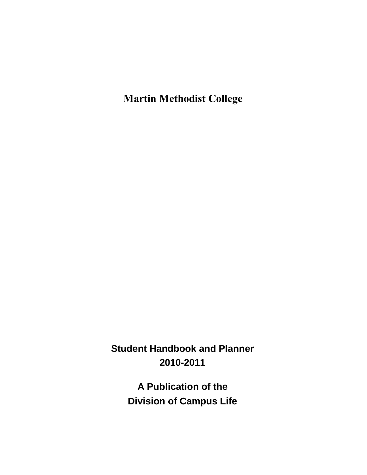**Martin Methodist College**

**Student Handbook and Planner 2010-2011**

> **A Publication of the Division of Campus Life**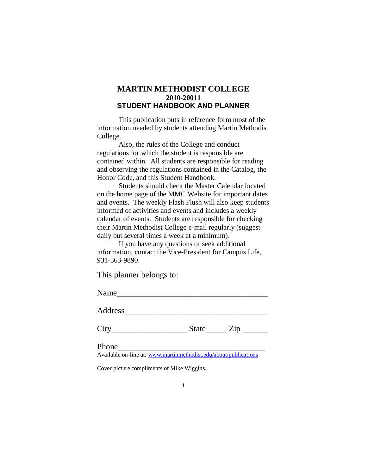# **MARTIN METHODIST COLLEGE 2010-20011 STUDENT HANDBOOK AND PLANNER**

This publication puts in reference form most of the information needed by students attending Martin Methodist College.

Also, the rules of the College and conduct regulations for which the student is responsible are contained within. All students are responsible for reading and observing the regulations contained in the Catalog, the Honor Code, and this Student Handbook.

Students should check the Master Calendar located on the home page of the MMC Website for important dates and events. The weekly Flash Flush will also keep students informed of activities and events and includes a weekly calendar of events. Students are responsible for checking their Martin Methodist College e-mail regularly (suggest daily but several times a week at a minimum).

If you have any questions or seek additional information, contact the Vice-President for Campus Life, 931-363-9890.

This planner belongs to:

| Name    |  |  |  |
|---------|--|--|--|
| Address |  |  |  |
|         |  |  |  |

 $City$   $City$   $State$   $Zip$   $\_$ 

Phone\_\_\_\_\_\_\_\_\_\_\_\_\_\_\_\_\_\_\_\_\_\_\_\_\_\_\_\_\_\_\_\_\_\_\_

Available on-line at: [www.martinmethodist.edu/about/publications](http://www.martinmethodist.edu/about/publications)

Cover picture compliments of Mike Wiggins.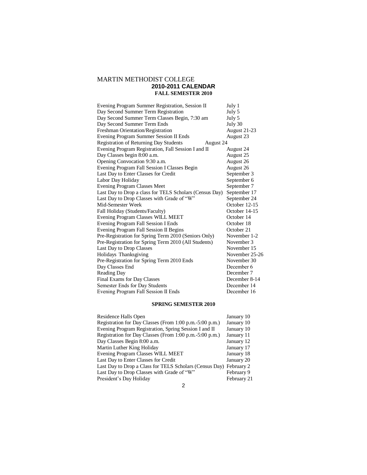# MARTIN METHODIST COLLEGE **2010-2011 CALENDAR FALL SEMESTER 2010**

| Evening Program Summer Registration, Session II            | July 1         |
|------------------------------------------------------------|----------------|
| Day Second Summer Term Registration                        | July 5         |
| Day Second Summer Term Classes Begin, 7:30 am              | July 5         |
| Day Second Summer Term Ends                                | July 30        |
| <b>Freshman Orientation/Registration</b>                   | August 21-23   |
| Evening Program Summer Session II Ends                     | August 23      |
| <b>Registration of Returning Day Students</b><br>August 24 |                |
| Evening Program Registration, Fall Session I and II        | August 24      |
| Day Classes begin 8:00 a.m.                                | August 25      |
| Opening Convocation 9:30 a.m.                              | August 26      |
| Evening Program Fall Session I Classes Begin               | August 26      |
| Last Day to Enter Classes for Credit                       | September 3    |
| Labor Day Holiday                                          | September 6    |
| <b>Evening Program Classes Meet</b>                        | September 7    |
| Last Day to Drop a class for TELS Scholars (Census Day)    | September 17   |
| Last Day to Drop Classes with Grade of "W"                 | September 24   |
| Mid-Semester Week                                          | October 12-15  |
| Fall Holiday (Students/Faculty)                            | October 14-15  |
| <b>Evening Program Classes WILL MEET</b>                   | October 14     |
| Evening Program Fall Session I Ends                        | October 18     |
| Evening Program Fall Session II Begins                     | October 21     |
| Pre-Registration for Spring Term 2010 (Seniors Only)       | November 1-2   |
| Pre-Registration for Spring Term 2010 (All Students)       | November 3     |
| Last Day to Drop Classes                                   | November 15    |
| Holidays Thanksgiving                                      | November 25-26 |
| Pre-Registration for Spring Term 2010 Ends                 | November 30    |
| Day Classes End                                            | December 6     |
| Reading Day                                                | December 7     |
| <b>Final Exams for Day Classes</b>                         | December 8-14  |
| Semester Ends for Day Students                             | December 14    |
| Evening Program Fall Session II Ends                       | December 16    |

### **SPRING SEMESTER 2010**

| Residence Halls Open                                               | January 10  |
|--------------------------------------------------------------------|-------------|
| Registration for Day Classes (From 1:00 p.m. -5:00 p.m.)           | January 10  |
| Evening Program Registration, Spring Session I and II              | January 10  |
| Registration for Day Classes (From 1:00 p.m.-5:00 p.m.)            | January 11  |
| Day Classes Begin 8:00 a.m.                                        | January 12  |
| Martin Luther King Holiday                                         | January 17  |
| Evening Program Classes WILL MEET                                  | January 18  |
| Last Day to Enter Classes for Credit                               | January 20  |
| Last Day to Drop a Class for TELS Scholars (Census Day) February 2 |             |
| Last Day to Drop Classes with Grade of "W"                         | February 9  |
| President's Day Holiday                                            | February 21 |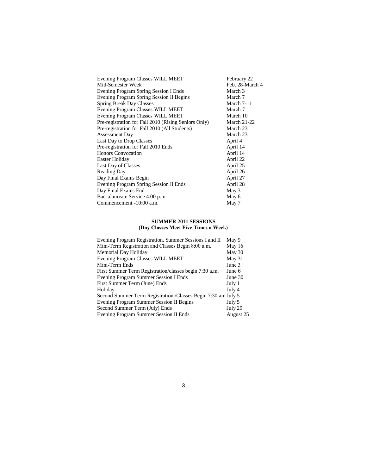| Evening Program Classes WILL MEET                    | February 22        |
|------------------------------------------------------|--------------------|
| Mid-Semester Week                                    | Feb. 28-March 4    |
| Evening Program Spring Session I Ends                | March 3            |
| Evening Program Spring Session II Begins             | March 7            |
| <b>Spring Break Day Classes</b>                      | March 7-11         |
| Evening Program Classes WILL MEET                    | March 7            |
| Evening Program Classes WILL MEET                    | March 10           |
| Pre-registration for Fall 2010 (Rising Seniors Only) | <b>March 21-22</b> |
| Pre-registration for Fall 2010 (All Students)        | March 23           |
| <b>Assessment Day</b>                                | March 23           |
| Last Day to Drop Classes                             | April 4            |
| Pre-registration for Fall 2010 Ends                  | April 14           |
| <b>Honors Convocation</b>                            | April 14           |
| Easter Holiday                                       | April 22           |
| Last Day of Classes                                  | April 25           |
| <b>Reading Day</b>                                   | April 26           |
| Day Final Exams Begin                                | April 27           |
| Evening Program Spring Session II Ends               | April 28           |
| Day Final Exams End                                  | May 3              |
| Baccalaureate Service 4:00 p.m.                      | May 6              |
| Commencement -10:00 a.m.                             | May 7              |

## **SUMMER 2011 SESSIONS (Day Classes Meet Five Times a Week)**

| Evening Program Registration, Summer Sessions I and II         | May 9     |
|----------------------------------------------------------------|-----------|
| Mini-Term Registration and Classes Begin 8:00 a.m.             | May 16    |
| Memorial Day Holiday                                           | May 30    |
| Evening Program Classes WILL MEET                              | May 31    |
| Mini-Term Ends                                                 | June 3    |
| First Summer Term Registration/classes begin 7:30 a.m.         | June 6    |
| Evening Program Summer Session I Ends                          | June 30   |
| First Summer Term (June) Ends                                  | July 1    |
| Holiday                                                        | July 4    |
| Second Summer Term Registration / Classes Begin 7:30 am July 5 |           |
| Evening Program Summer Session II Begins                       | July 5    |
| Second Summer Term (July) Ends                                 | July 29   |
| Evening Program Summer Session II Ends                         | August 25 |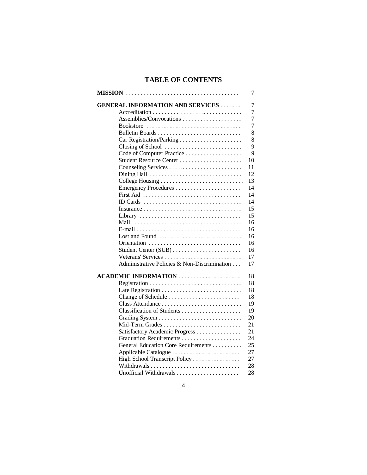# **TABLE OF CONTENTS**

|                                              | 7              |
|----------------------------------------------|----------------|
| <b>GENERAL INFORMATION AND SERVICES</b>      | 7              |
|                                              | $\overline{7}$ |
| Assemblies/Convocations                      | 7              |
| Bookstore                                    | $\tau$         |
|                                              | 8              |
|                                              | 8              |
| Closing of School                            | 9              |
|                                              | 9              |
|                                              | 10             |
|                                              | 11             |
| Dining Hall                                  | 12             |
|                                              | 13             |
|                                              | 14             |
|                                              | 14             |
| ID Cards                                     | 14             |
|                                              | 15             |
|                                              | 15             |
| Mail                                         | 16             |
|                                              | 16             |
| Lost and Found                               | 16             |
|                                              | 16             |
|                                              | 16             |
| Veterans' Services                           | 17             |
| Administrative Policies & Non-Discrimination | 17             |
|                                              | 18             |
|                                              | 18             |
|                                              | 18             |
|                                              | 18             |
|                                              | 19             |
|                                              | 19             |
|                                              | 20             |
| Mid-Term Grades                              | 21             |
| Satisfactory Academic Progress               | 21             |
|                                              | 24             |
| General Education Core Requirements          | 25             |
| Applicable Catalogue                         | 27             |
| High School Transcript Policy                | 27             |
|                                              | 28             |
|                                              | 28             |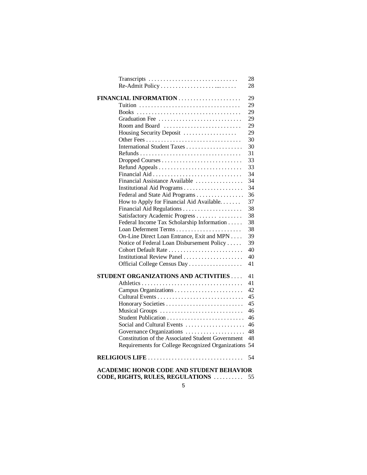| Transcripts                                                                                   | 28 |
|-----------------------------------------------------------------------------------------------|----|
|                                                                                               | 28 |
| FINANCIAL INFORMATION                                                                         | 29 |
|                                                                                               | 29 |
|                                                                                               | 29 |
|                                                                                               | 29 |
| Room and Board                                                                                | 29 |
| Housing Security Deposit                                                                      | 29 |
|                                                                                               | 30 |
|                                                                                               | 30 |
|                                                                                               | 31 |
|                                                                                               | 33 |
|                                                                                               | 33 |
|                                                                                               | 34 |
| Financial Assistance Available                                                                | 34 |
|                                                                                               | 34 |
| Federal and State Aid Programs                                                                | 36 |
| How to Apply for Financial Aid Available.                                                     | 37 |
| Financial Aid Regulations                                                                     | 38 |
| Satisfactory Academic Progress                                                                | 38 |
| Federal Income Tax Scholarship Information                                                    | 38 |
|                                                                                               | 38 |
| On-Line Direct Loan Entrance, Exit and MPN                                                    | 39 |
| Notice of Federal Loan Disbursement Policy                                                    | 39 |
| Cohort Default Rate                                                                           | 40 |
| Institutional Review Panel                                                                    | 40 |
| Official College Census Day                                                                   | 41 |
| <b>STUDENT ORGANIZATIONS AND ACTIVITIES </b>                                                  | 41 |
|                                                                                               | 41 |
|                                                                                               | 42 |
|                                                                                               | 45 |
|                                                                                               | 45 |
| Musical Groups                                                                                | 46 |
| Student Publication                                                                           | 46 |
| Social and Cultural Events                                                                    | 46 |
| Governance Organizations                                                                      | 48 |
| Constitution of the Associated Student Government                                             | 48 |
| Requirements for College Recognized Organizations                                             | 54 |
| RELIGIOUS LIFE $\ldots \ldots \ldots \ldots \ldots \ldots \ldots \ldots \ldots \ldots \ldots$ | 54 |
| <b>ACADEMIC HONOR CODE AND STUDENT BEHAVIOR</b>                                               |    |

# **CODE, RIGHTS, RULES, REGULATIONS** . . . . . . . . . . 55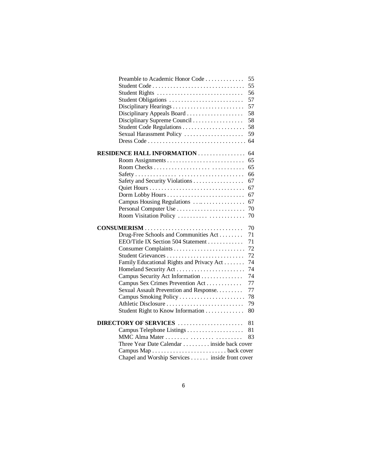| Preamble to Academic Honor Code                | 55 |
|------------------------------------------------|----|
|                                                | 55 |
|                                                | 56 |
| Student Obligations                            | 57 |
|                                                | 57 |
|                                                | 58 |
| Disciplinary Supreme Council                   | 58 |
| Student Code Regulations                       | 58 |
| Sexual Harassment Policy                       | 59 |
|                                                | 64 |
| <b>RESIDENCE HALL INFORMATION</b>              | 64 |
|                                                | 65 |
|                                                | 65 |
|                                                | 66 |
| Safety and Security Violations                 | 67 |
|                                                | 67 |
|                                                | 67 |
| Campus Housing Regulations                     | 67 |
|                                                | 70 |
| Room Visitation Policy                         | 70 |
|                                                |    |
|                                                | 70 |
| Drug-Free Schools and Communities Act          | 71 |
| EEO/Title IX Section 504 Statement             | 71 |
|                                                | 72 |
| Student Grievances                             | 72 |
| Family Educational Rights and Privacy Act      | 74 |
|                                                | 74 |
| Campus Security Act Information                | 74 |
| Campus Sex Crimes Prevention Act               | 77 |
| Sexual Assault Prevention and Response.        | 77 |
|                                                | 78 |
| Athletic Disclosure                            | 79 |
| Student Right to Know Information              | 80 |
| DIRECTORY OF SERVICES                          | 81 |
|                                                | 81 |
|                                                | 83 |
| Three Year Date Calendar inside back cover     |    |
|                                                |    |
| Chapel and Worship Services inside front cover |    |
|                                                |    |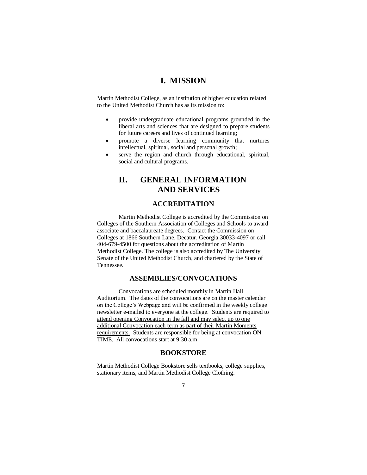# **I. MISSION**

Martin Methodist College, as an institution of higher education related to the United Methodist Church has as its mission to:

- provide undergraduate educational programs grounded in the liberal arts and sciences that are designed to prepare students for future careers and lives of continued learning;
- promote a diverse learning community that nurtures intellectual, spiritual, social and personal growth;
- serve the region and church through educational, spiritual, social and cultural programs.

# **II. GENERAL INFORMATION AND SERVICES**

## **ACCREDITATION**

Martin Methodist College is accredited by the Commission on Colleges of the Southern Association of Colleges and Schools to award associate and baccalaureate degrees. Contact the Commission on Colleges at 1866 Southern Lane, Decatur, Georgia 30033-4097 or call 404-679-4500 for questions about the accreditation of Martin Methodist College. The college is also accredited by The University Senate of the United Methodist Church, and chartered by the State of Tennessee.

# **ASSEMBLIES/CONVOCATIONS**

Convocations are scheduled monthly in Martin Hall Auditorium. The dates of the convocations are on the master calendar on the College's Webpage and will be confirmed in the weekly college newsletter e-mailed to everyone at the college. Students are required to attend opening Convocation in the fall and may select up to one additional Convocation each term as part of their Martin Moments requirements. Students are responsible for being at convocation ON TIME. All convocations start at 9:30 a.m.

## **BOOKSTORE**

Martin Methodist College Bookstore sells textbooks, college supplies, stationary items, and Martin Methodist College Clothing.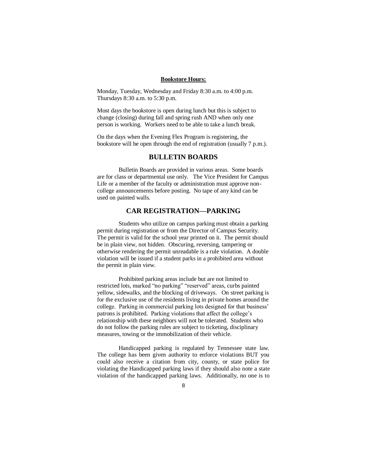#### **Bookstore Hours:**

Monday, Tuesday, Wednesday and Friday 8:30 a.m. to 4:00 p.m. Thursdays 8:30 a.m. to 5:30 p.m.

Most days the bookstore is open during lunch but this is subject to change (closing) during fall and spring rush AND when only one person is working. Workers need to be able to take a lunch break.

On the days when the Evening Flex Program is registering, the bookstore will be open through the end of registration (usually 7 p.m.).

### **BULLETIN BOARDS**

Bulletin Boards are provided in various areas. Some boards are for class or departmental use only. The Vice President for Campus Life or a member of the faculty or administration must approve noncollege announcements before posting. No tape of any kind can be used on painted walls.

### **CAR REGISTRATION—PARKING**

Students who utilize on campus parking must obtain a parking permit during registration or from the Director of Campus Security. The permit is valid for the school year printed on it. The permit should be in plain view, not hidden. Obscuring, reversing, tampering or otherwise rendering the permit unreadable is a rule violation. A double violation will be issued if a student parks in a prohibited area without the permit in plain view.

Prohibited parking areas include but are not limited to restricted lots, marked "no parking" "reserved" areas, curbs painted yellow, sidewalks, and the blocking of driveways. On street parking is for the exclusive use of the residents living in private homes around the college. Parking in commercial parking lots designed for that business' patrons is prohibited. Parking violations that affect the college's relationship with these neighbors will not be tolerated. Students who do not follow the parking rules are subject to ticketing, disciplinary measures, towing or the immobilization of their vehicle.

Handicapped parking is regulated by Tennessee state law. The college has been given authority to enforce violations BUT you could also receive a citation from city, county, or state police for violating the Handicapped parking laws if they should also note a state violation of the handicapped parking laws. Additionally, no one is to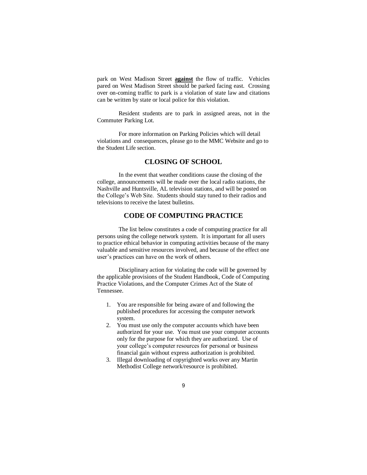park on West Madison Street **against** the flow of traffic. Vehicles pared on West Madison Street should be parked facing east. Crossing over on-coming traffic to park is a violation of state law and citations can be written by state or local police for this violation.

Resident students are to park in assigned areas, not in the Commuter Parking Lot.

For more information on Parking Policies which will detail violations and consequences, please go to the MMC Website and go to the Student Life section.

### **CLOSING OF SCHOOL**

In the event that weather conditions cause the closing of the college, announcements will be made over the local radio stations, the Nashville and Huntsville, AL television stations, and will be posted on the College's Web Site. Students should stay tuned to their radios and televisions to receive the latest bulletins.

# **CODE OF COMPUTING PRACTICE**

The list below constitutes a code of computing practice for all persons using the college network system. It is important for all users to practice ethical behavior in computing activities because of the many valuable and sensitive resources involved, and because of the effect one user's practices can have on the work of others.

Disciplinary action for violating the code will be governed by the applicable provisions of the Student Handbook, Code of Computing Practice Violations, and the Computer Crimes Act of the State of Tennessee.

- 1. You are responsible for being aware of and following the published procedures for accessing the computer network system.
- 2. You must use only the computer accounts which have been authorized for your use. You must use your computer accounts only for the purpose for which they are authorized. Use of your college's computer resources for personal or business financial gain without express authorization is prohibited.
- 3. Illegal downloading of copyrighted works over any Martin Methodist College network/resource is prohibited.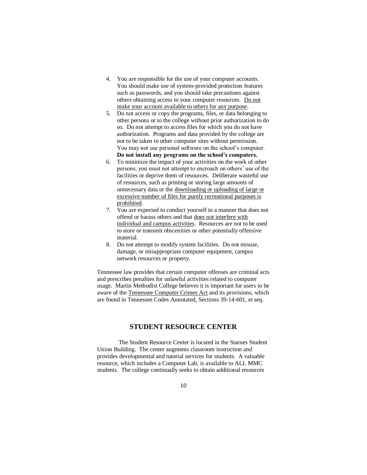- 4. You are responsible for the use of your computer accounts. You should make use of system-provided protection features such as passwords, and you should take precautions against others obtaining access to your computer resources. Do not make your account available to others for any purpose.
- 5. Do not access or copy the programs, files, or data belonging to other persons or to the college without prior authorization to do so. Do not attempt to access files for which you do not have authorization. Programs and data provided by the college are not to be taken to other computer sites without permission. You may not use personal software on the school's computer. **Do not install any programs on the school's computers.**
- 6. To minimize the impact of your activities on the work of other persons, you must not attempt to encroach on others' use of the facilities or deprive them of resources. Deliberate wasteful use of resources, such as printing or storing large amounts of unnecessary data or the downloading or uploading of large or excessive number of files for purely recreational purposes is prohibited.
- 7. You are expected to conduct yourself in a manner that does not offend or harass others and that does not interfere with individual and campus activities. Resources are not to be used to store or transmit obscenities or other potentially offensive material.
- 8. Do not attempt to modify system facilities. Do not misuse, damage, or misappropriate computer equipment, campus network resources or property.

Tennessee law provides that certain computer offenses are criminal acts and prescribes penalties for unlawful activities related to computer usage. Martin Methodist College believes it is important for users to be aware of the Tennessee Computer Crimes Act and its provisions, which are found in Tennessee Codes Annotated, Sections 39-14-601, et seq.

## **STUDENT RESOURCE CENTER**

The Student Resource Center is located in the Starnes Student Union Building. The center augments classroom instruction and provides developmental and tutorial services for students. A valuable resource, which includes a Computer Lab, is available to ALL MMC students. The college continually seeks to obtain additional resources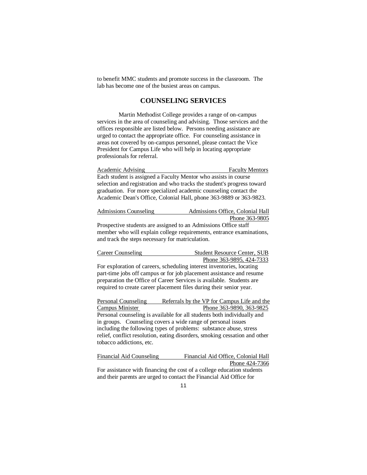to benefit MMC students and promote success in the classroom. The lab has become one of the busiest areas on campus.

### **COUNSELING SERVICES**

Martin Methodist College provides a range of on-campus services in the area of counseling and advising. Those services and the offices responsible are listed below. Persons needing assistance are urged to contact the appropriate office. For counseling assistance in areas not covered by on-campus personnel, please contact the Vice President for Campus Life who will help in locating appropriate professionals for referral.

Academic Advising Faculty Mentors Each student is assigned a Faculty Mentor who assists in course selection and registration and who tracks the student's progress toward graduation. For more specialized academic counseling contact the Academic Dean's Office, Colonial Hall, phone 363-9889 or 363-9823.

| Admissions Counseling | Admissions Office, Colonial Hall                                |
|-----------------------|-----------------------------------------------------------------|
|                       | Phone 363-9805                                                  |
|                       | Prospective students are assigned to an Admissions Office staff |

member who will explain college requirements, entrance examinations, and track the steps necessary for matriculation.

| Career Counseling | <b>Student Resource Center, SUB</b> |
|-------------------|-------------------------------------|
|                   | Phone 363-9895, 424-7333            |

For exploration of careers, scheduling interest inventories, locating part-time jobs off campus or for job placement assistance and resume preparation the Office of Career Services is available. Students are required to create career placement files during their senior year.

Personal Counseling Referrals by the VP for Campus Life and the Campus Minister Phone 363-9890, 363-9825 Personal counseling is available for all students both individually and in groups. Counseling covers a wide range of personal issues including the following types of problems: substance abuse, stress relief, conflict resolution, eating disorders, smoking cessation and other tobacco addictions, etc.

Financial Aid Counseling Financial Aid Office, Colonial Hall Phone 424-7366 For assistance with financing the cost of a college education students

and their parents are urged to contact the Financial Aid Office for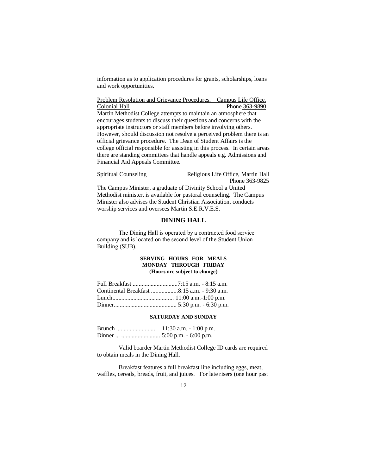information as to application procedures for grants, scholarships, loans and work opportunities.

Problem Resolution and Grievance Procedures, Campus Life Office, Colonial Hall Phone 363-9890 Martin Methodist College attempts to maintain an atmosphere that encourages students to discuss their questions and concerns with the appropriate instructors or staff members before involving others. However, should discussion not resolve a perceived problem there is an official grievance procedure. The Dean of Student Affairs is the college official responsible for assisting in this process. In certain areas there are standing committees that handle appeals e.g. Admissions and Financial Aid Appeals Committee.

| Spiritual Counseling | Religious Life Office, Martin Hall                                   |
|----------------------|----------------------------------------------------------------------|
|                      | Phone 363-9825                                                       |
|                      | The Campus Minister, a graduate of Divinity School a United          |
|                      | Methodist minister, is available for pastoral counseling. The Campus |
|                      | Minister also advises the Student Christian Association, conducts    |

#### **DINING HALL**

The Dining Hall is operated by a contracted food service company and is located on the second level of the Student Union Building (SUB).

### **SERVING HOURS FOR MEALS MONDAY THROUGH FRIDAY (Hours are subject to change)**

| Continental Breakfast 8:15 a.m. - 9:30 a.m. |  |
|---------------------------------------------|--|
|                                             |  |
|                                             |  |

worship services and oversees Martin S.E.R.V.E.S.

#### **SATURDAY AND SUNDAY**

Brunch ........................... 11:30 a.m. - 1:00 p.m. Dinner ... .................. ....... 5:00 p.m. - 6:00 p.m.

Valid boarder Martin Methodist College ID cards are required to obtain meals in the Dining Hall.

Breakfast features a full breakfast line including eggs, meat, waffles, cereals, breads, fruit, and juices. For late risers (one hour past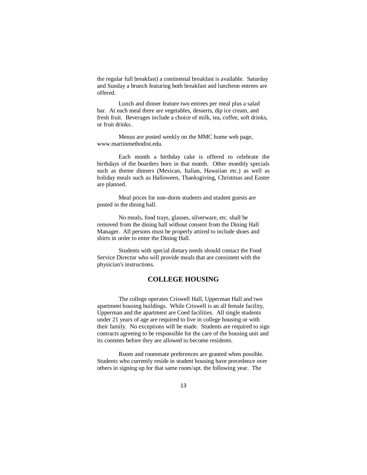the regular full breakfast) a continental breakfast is available. Saturday and Sunday a brunch featuring both breakfast and luncheon entrees are offered.

Lunch and dinner feature two entrees per meal plus a salad bar. At each meal there are vegetables, desserts, dip ice cream, and fresh fruit. Beverages include a choice of milk, tea, coffee, soft drinks, or fruit drinks.

Menus are posted weekly on the MMC home web page, www.martinmethodist.edu.

Each month a birthday cake is offered to celebrate the birthdays of the boarders born in that month. Other monthly specials such as theme dinners (Mexican, Italian, Hawaiian etc.) as well as holiday meals such as Halloween, Thanksgiving, Christmas and Easter are planned.

Meal prices for non-dorm students and student guests are posted in the dining hall.

No meals, food trays, glasses, silverware, etc. shall be removed from the dining hall without consent from the Dining Hall Manager. All persons must be properly attired to include shoes and shirts in order to enter the Dining Hall.

Students with special dietary needs should contact the Food Service Director who will provide meals that are consistent with the physician's instructions.

# **COLLEGE HOUSING**

The college operates Criswell Hall, Upperman Hall and two apartment housing buildings. While Criswell is an all female facility, Upperman and the apartment are Coed facilities. All single students under 21 years of age are required to live in college housing or with their family. No exceptions will be made. Students are required to sign contracts agreeing to be responsible for the care of the housing unit and its contents before they are allowed to become residents.

Room and roommate preferences are granted when possible. Students who currently reside in student housing have precedence over others in signing up for that same room/apt. the following year. The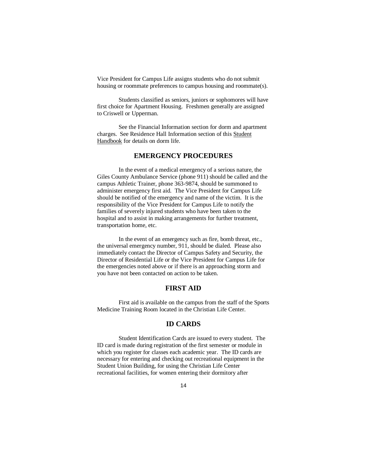Vice President for Campus Life assigns students who do not submit housing or roommate preferences to campus housing and roommate(s).

Students classified as seniors, juniors or sophomores will have first choice for Apartment Housing. Freshmen generally are assigned to Criswell or Upperman.

See the Financial Information section for dorm and apartment charges. See Residence Hall Information section of this Student Handbook for details on dorm life.

## **EMERGENCY PROCEDURES**

In the event of a medical emergency of a serious nature, the Giles County Ambulance Service (phone 911) should be called and the campus Athletic Trainer, phone 363-9874, should be summoned to administer emergency first aid. The Vice President for Campus Life should be notified of the emergency and name of the victim. It is the responsibility of the Vice President for Campus Life to notify the families of severely injured students who have been taken to the hospital and to assist in making arrangements for further treatment, transportation home, etc.

In the event of an emergency such as fire, bomb threat, etc., the universal emergency number, 911, should be dialed. Please also immediately contact the Director of Campus Safety and Security, the Director of Residential Life or the Vice President for Campus Life for the emergencies noted above or if there is an approaching storm and you have not been contacted on action to be taken.

### **FIRST AID**

First aid is available on the campus from the staff of the Sports Medicine Training Room located in the Christian Life Center.

### **ID CARDS**

Student Identification Cards are issued to every student. The ID card is made during registration of the first semester or module in which you register for classes each academic year. The ID cards are necessary for entering and checking out recreational equipment in the Student Union Building, for using the Christian Life Center recreational facilities, for women entering their dormitory after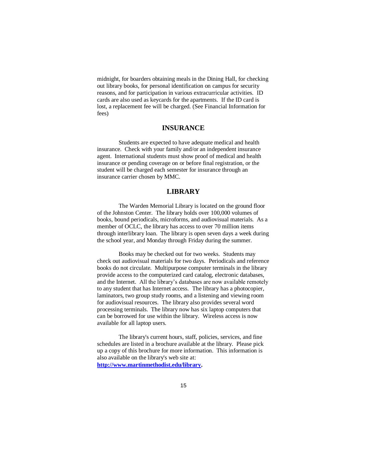midnight, for boarders obtaining meals in the Dining Hall, for checking out library books, for personal identification on campus for security reasons, and for participation in various extracurricular activities. ID cards are also used as keycards for the apartments. If the ID card is lost, a replacement fee will be charged. (See Financial Information for fees)

## **INSURANCE**

Students are expected to have adequate medical and health insurance. Check with your family and/or an independent insurance agent. International students must show proof of medical and health insurance or pending coverage on or before final registration, or the student will be charged each semester for insurance through an insurance carrier chosen by MMC.

### **LIBRARY**

The Warden Memorial Library is located on the ground floor of the Johnston Center. The library holds over 100,000 volumes of books, bound periodicals, microforms, and audiovisual materials. As a member of OCLC, the library has access to over 70 million items through interlibrary loan. The library is open seven days a week during the school year, and Monday through Friday during the summer.

Books may be checked out for two weeks. Students may check out audiovisual materials for two days. Periodicals and reference books do not circulate. Multipurpose computer terminals in the library provide access to the computerized card catalog, electronic databases, and the Internet. All the library's databases are now available remotely to any student that has Internet access.The library has a photocopier, laminators, two group study rooms, and a listening and viewing room for audiovisual resources. The library also provides several word processing terminals. The library now has six laptop computers that can be borrowed for use within the library. Wireless access is now available for all laptop users.

The library's current hours, staff, policies, services, and fine schedules are listed in a brochure available at the library. Please pick up a copy of this brochure for more information. This information is also available on the library's web site at: **[http://www.martinmethodist.edu/library.](http://www.martinmethodist.edu/library)**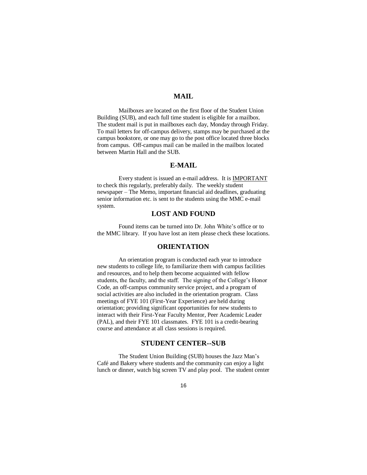### **MAIL**

Mailboxes are located on the first floor of the Student Union Building (SUB), and each full time student is eligible for a mailbox. The student mail is put in mailboxes each day, Monday through Friday. To mail letters for off-campus delivery, stamps may be purchased at the campus bookstore, or one may go to the post office located three blocks from campus. Off-campus mail can be mailed in the mailbox located between Martin Hall and the SUB.

### **E-MAIL**

Every student is issued an e-mail address. It is IMPORTANT to check this regularly, preferably daily. The weekly student newspaper – The Memo, important financial aid deadlines, graduating senior information etc. is sent to the students using the MMC e-mail system.

## **LOST AND FOUND**

Found items can be turned into Dr. John White's office or to the MMC library. If you have lost an item please check these locations.

### **ORIENTATION**

An orientation program is conducted each year to introduce new students to college life, to familiarize them with campus facilities and resources, and to help them become acquainted with fellow students, the faculty, and the staff. The signing of the College's Honor Code, an off-campus community service project, and a program of social activities are also included in the orientation program. Class meetings of FYE 101 (First-Year Experience) are held during orientation; providing significant opportunities for new students to interact with their First-Year Faculty Mentor, Peer Academic Leader (PAL), and their FYE 101 classmates. FYE 101 is a credit-bearing course and attendance at all class sessions is required.

### **STUDENT CENTER--SUB**

The Student Union Building (SUB) houses the Jazz Man's Café and Bakery where students and the community can enjoy a light lunch or dinner, watch big screen TV and play pool. The student center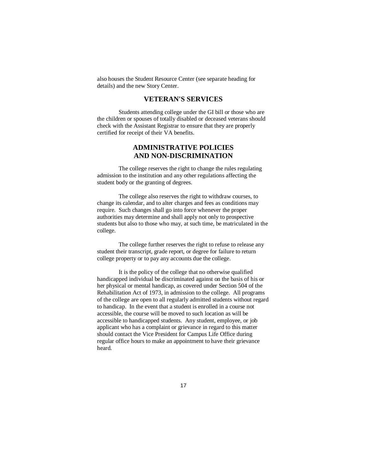also houses the Student Resource Center (see separate heading for details) and the new Story Center.

# **VETERAN'S SERVICES**

Students attending college under the GI bill or those who are the children or spouses of totally disabled or deceased veterans should check with the Assistant Registrar to ensure that they are properly certified for receipt of their VA benefits.

## **ADMINISTRATIVE POLICIES AND NON-DISCRIMINATION**

The college reserves the right to change the rules regulating admission to the institution and any other regulations affecting the student body or the granting of degrees.

The college also reserves the right to withdraw courses, to change its calendar, and to alter charges and fees as conditions may require. Such changes shall go into force whenever the proper authorities may determine and shall apply not only to prospective students but also to those who may, at such time, be matriculated in the college.

The college further reserves the right to refuse to release any student their transcript, grade report, or degree for failure to return college property or to pay any accounts due the college.

It is the policy of the college that no otherwise qualified handicapped individual be discriminated against on the basis of his or her physical or mental handicap, as covered under Section 504 of the Rehabilitation Act of 1973, in admission to the college. All programs of the college are open to all regularly admitted students without regard to handicap. In the event that a student is enrolled in a course not accessible, the course will be moved to such location as will be accessible to handicapped students. Any student, employee, or job applicant who has a complaint or grievance in regard to this matter should contact the Vice President for Campus Life Office during regular office hours to make an appointment to have their grievance heard.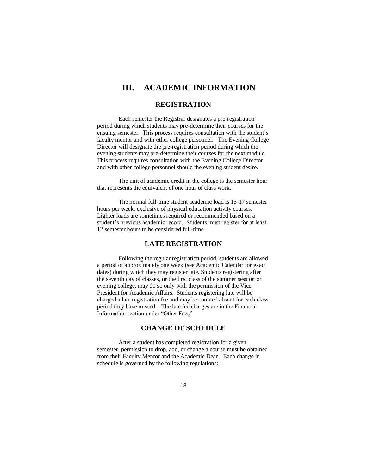# **III. ACADEMIC INFORMATION**

### **REGISTRATION**

Each semester the Registrar designates a pre-registration period during which students may pre-determine their courses for the ensuing semester. This process requires consultation with the student's faculty mentor and with other college personnel. The Evening College Director will designate the pre-registration period during which the evening students may pre-determine their courses for the next module. This process requires consultation with the Evening College Director and with other college personnel should the evening student desire.

The unit of academic credit in the college is the semester hour that represents the equivalent of one hour of class work.

The normal full-time student academic load is 15-17 semester hours per week, exclusive of physical education activity courses. Lighter loads are sometimes required or recommended based on a student's previous academic record. Students must register for at least 12 semester hours to be considered full-time.

# **LATE REGISTRATION**

Following the regular registration period, students are allowed a period of approximately one week (see Academic Calendar for exact dates) during which they may register late. Students registering after the seventh day of classes, or the first class of the summer session or evening college, may do so only with the permission of the Vice President for Academic Affairs. Students registering late will be charged a late registration fee and may be counted absent for each class period they have missed. The late fee charges are in the Financial Information section under "Other Fees"

## **CHANGE OF SCHEDULE**

After a student has completed registration for a given semester, permission to drop, add, or change a course must be obtained from their Faculty Mentor and the Academic Dean. Each change in schedule is governed by the following regulations: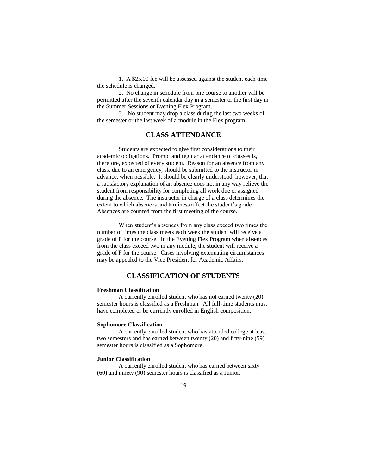1. A \$25.00 fee will be assessed against the student each time the schedule is changed.

2. No change in schedule from one course to another will be permitted after the seventh calendar day in a semester or the first day in the Summer Sessions or Evening Flex Program.

3. No student may drop a class during the last two weeks of the semester or the last week of a module in the Flex program.

# **CLASS ATTENDANCE**

Students are expected to give first considerations to their academic obligations. Prompt and regular attendance of classes is, therefore, expected of every student. Reason for an absence from any class, due to an emergency, should be submitted to the instructor in advance, when possible. It should be clearly understood, however, that a satisfactory explanation of an absence does not in any way relieve the student from responsibility for completing all work due or assigned during the absence. The instructor in charge of a class determines the extent to which absences and tardiness affect the student's grade. Absences are counted from the first meeting of the course.

When student's absences from any class exceed two times the number of times the class meets each week the student will receive a grade of F for the course. In the Evening Flex Program when absences from the class exceed two in any module, the student will receive a grade of F for the course. Cases involving extenuating circumstances may be appealed to the Vice President for Academic Affairs.

# **CLASSIFICATION OF STUDENTS**

### **Freshman Classification**

A currently enrolled student who has not earned twenty (20) semester hours is classified as a Freshman. All full-time students must have completed or be currently enrolled in English composition.

#### **Sophomore Classification**

A currently enrolled student who has attended college at least two semesters and has earned between twenty (20) and fifty-nine (59) semester hours is classified as a Sophomore.

#### **Junior Classification**

A currently enrolled student who has earned between sixty (60) and ninety (90) semester hours is classified as a Junior.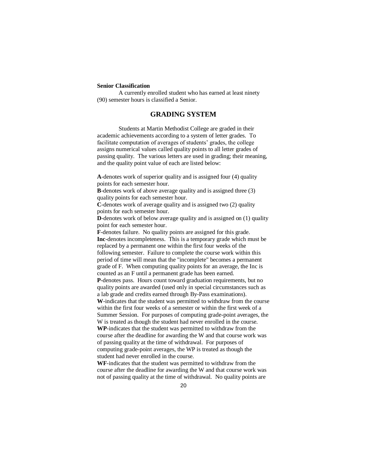### **Senior Classification**

A currently enrolled student who has earned at least ninety (90) semester hours is classified a Senior.

### **GRADING SYSTEM**

Students at Martin Methodist College are graded in their academic achievements according to a system of letter grades. To facilitate computation of averages of students' grades, the college assigns numerical values called quality points to all letter grades of passing quality. The various letters are used in grading; their meaning, and the quality point value of each are listed below:

**A**-denotes work of superior quality and is assigned four (4) quality points for each semester hour.

**B**-denotes work of above average quality and is assigned three (3) quality points for each semester hour.

**C**-denotes work of average quality and is assigned two (2) quality points for each semester hour.

**D**-denotes work of below average quality and is assigned on (1) quality point for each semester hour.

**F**-denotes failure. No quality points are assigned for this grade. **Inc**-denotes incompleteness. This is a temporary grade which must be replaced by a permanent one within the first four weeks of the following semester. Failure to complete the course work within this period of time will mean that the "incomplete" becomes a permanent grade of F. When computing quality points for an average, the Inc is counted as an F until a permanent grade has been earned.

**P**-denotes pass. Hours count toward graduation requirements, but no quality points are awarded (used only in special circumstances such as a lab grade and credits earned through By-Pass examinations).

**W**-indicates that the student was permitted to withdraw from the course within the first four weeks of a semester or within the first week of a Summer Session. For purposes of computing grade-point averages, the W is treated as though the student had never enrolled in the course. **WP**-indicates that the student was permitted to withdraw from the course after the deadline for awarding the W and that course work was of passing quality at the time of withdrawal. For purposes of

computing grade-point averages, the WP is treated as though the student had never enrolled in the course. **WF**-indicates that the student was permitted to withdraw from the

course after the deadline for awarding the W and that course work was not of passing quality at the time of withdrawal. No quality points are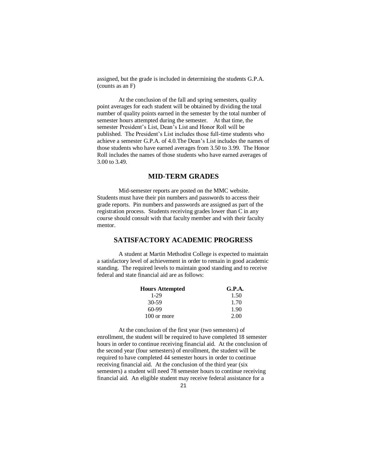assigned, but the grade is included in determining the students G.P.A. (counts as an F)

At the conclusion of the fall and spring semesters, quality point averages for each student will be obtained by dividing the total number of quality points earned in the semester by the total number of semester hours attempted during the semester. At that time, the semester President's List, Dean's List and Honor Roll will be published. The President's List includes those full-time students who achieve a semester G.P.A. of 4.0.The Dean's List includes the names of those students who have earned averages from 3.50 to 3.99. The Honor Roll includes the names of those students who have earned averages of 3.00 to 3.49.

### **MID-TERM GRADES**

Mid-semester reports are posted on the MMC website. Students must have their pin numbers and passwords to access their grade reports. Pin numbers and passwords are assigned as part of the registration process. Students receiving grades lower than C in any course should consult with that faculty member and with their faculty mentor.

### **SATISFACTORY ACADEMIC PROGRESS**

A student at Martin Methodist College is expected to maintain a satisfactory level of achievement in order to remain in good academic standing. The required levels to maintain good standing and to receive federal and state financial aid are as follows:

| <b>Hours Attempted</b> | G.P.A. |
|------------------------|--------|
| 1-29                   | 1.50   |
| 30-59                  | 1.70   |
| $60-99$                | 1.90   |
| 100 or more            | 2.00   |

At the conclusion of the first year (two semesters) of enrollment, the student will be required to have completed 18 semester hours in order to continue receiving financial aid. At the conclusion of the second year (four semesters) of enrollment, the student will be required to have completed 44 semester hours in order to continue receiving financial aid. At the conclusion of the third year (six semesters) a student will need 78 semester hours to continue receiving financial aid. An eligible student may receive federal assistance for a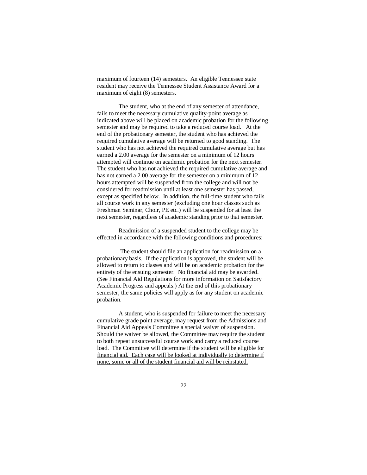maximum of fourteen (14) semesters. An eligible Tennessee state resident may receive the Tennessee Student Assistance Award for a maximum of eight (8) semesters.

The student, who at the end of any semester of attendance, fails to meet the necessary cumulative quality-point average as indicated above will be placed on academic probation for the following semester and may be required to take a reduced course load. At the end of the probationary semester, the student who has achieved the required cumulative average will be returned to good standing. The student who has not achieved the required cumulative average but has earned a 2.00 average for the semester on a minimum of 12 hours attempted will continue on academic probation for the next semester. The student who has not achieved the required cumulative average and has not earned a 2.00 average for the semester on a minimum of 12 hours attempted will be suspended from the college and will not be considered for readmission until at least one semester has passed, except as specified below. In addition, the full-time student who fails all course work in any semester (excluding one hour classes such as Freshman Seminar, Choir, PE etc.) will be suspended for at least the next semester, regardless of academic standing prior to that semester.

Readmission of a suspended student to the college may be effected in accordance with the following conditions and procedures:

 The student should file an application for readmission on a probationary basis. If the application is approved, the student will be allowed to return to classes and will be on academic probation for the entirety of the ensuing semester. No financial aid may be awarded. (See Financial Aid Regulations for more information on Satisfactory Academic Progress and appeals.) At the end of this probationary semester, the same policies will apply as for any student on academic probation.

A student, who is suspended for failure to meet the necessary cumulative grade point average, may request from the Admissions and Financial Aid Appeals Committee a special waiver of suspension. Should the waiver be allowed, the Committee may require the student to both repeat unsuccessful course work and carry a reduced course load. The Committee will determine if the student will be eligible for financial aid. Each case will be looked at individually to determine if none, some or all of the student financial aid will be reinstated.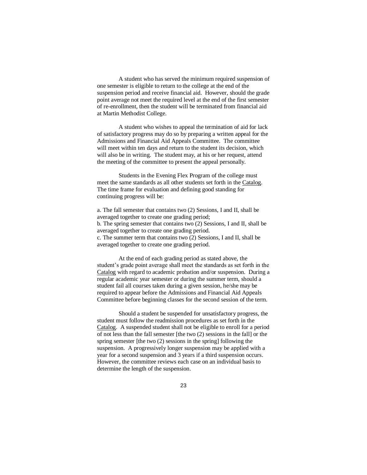A student who has served the minimum required suspension of one semester is eligible to return to the college at the end of the suspension period and receive financial aid. However, should the grade point average not meet the required level at the end of the first semester of re-enrollment, then the student will be terminated from financial aid at Martin Methodist College.

A student who wishes to appeal the termination of aid for lack of satisfactory progress may do so by preparing a written appeal for the Admissions and Financial Aid Appeals Committee. The committee will meet within ten days and return to the student its decision, which will also be in writing. The student may, at his or her request, attend the meeting of the committee to present the appeal personally.

Students in the Evening Flex Program of the college must meet the same standards as all other students set forth in the Catalog. The time frame for evaluation and defining good standing for continuing progress will be:

a. The fall semester that contains two (2) Sessions, I and II, shall be averaged together to create one grading period; b. The spring semester that contains two (2) Sessions, I and II, shall be averaged together to create one grading period. c. The summer term that contains two (2) Sessions, I and II, shall be averaged together to create one grading period.

At the end of each grading period as stated above, the student's grade point average shall meet the standards as set forth in the Catalog with regard to academic probation and/or suspension. During a regular academic year semester or during the summer term, should a student fail all courses taken during a given session, he/she may be required to appear before the Admissions and Financial Aid Appeals Committee before beginning classes for the second session of the term.

Should a student be suspended for unsatisfactory progress, the student must follow the readmission procedures as set forth in the Catalog. A suspended student shall not be eligible to enroll for a period of not less than the fall semester [the two (2) sessions in the fall] or the spring semester [the two (2) sessions in the spring] following the suspension. A progressively longer suspension may be applied with a year for a second suspension and 3 years if a third suspension occurs. However, the committee reviews each case on an individual basis to determine the length of the suspension.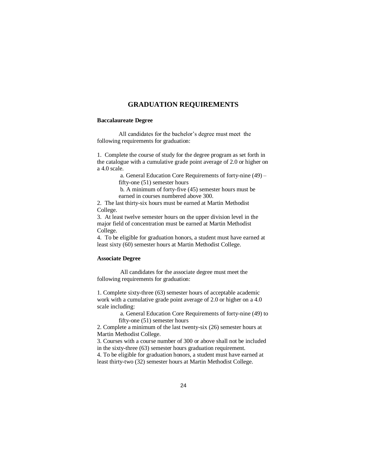### **GRADUATION REQUIREMENTS**

#### **Baccalaureate Degree**

All candidates for the bachelor's degree must meet the following requirements for graduation:

1. Complete the course of study for the degree program as set forth in the catalogue with a cumulative grade point average of 2.0 or higher on a 4.0 scale.

> a. General Education Core Requirements of forty-nine (49) – fifty-one (51) semester hours

b. A minimum of forty-five (45) semester hours must be earned in courses numbered above 300.

2. The last thirty-six hours must be earned at Martin Methodist College.

3. At least twelve semester hours on the upper division level in the major field of concentration must be earned at Martin Methodist College.

4. To be eligible for graduation honors, a student must have earned at least sixty (60) semester hours at Martin Methodist College.

### **Associate Degree**

All candidates for the associate degree must meet the following requirements for graduation:

1. Complete sixty-three (63) semester hours of acceptable academic work with a cumulative grade point average of 2.0 or higher on a 4.0 scale including:

a. General Education Core Requirements of forty-nine (49) to fifty-one (51) semester hours

2. Complete a minimum of the last twenty-six (26) semester hours at Martin Methodist College.

3. Courses with a course number of 300 or above shall not be included in the sixty-three (63) semester hours graduation requirement. 4. To be eligible for graduation honors, a student must have earned at

least thirty-two (32) semester hours at Martin Methodist College.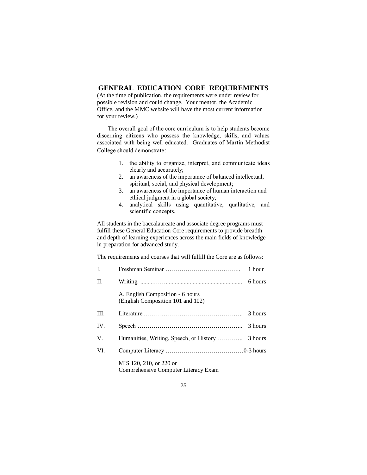# **GENERAL EDUCATION CORE REQUIREMENTS**

(At the time of publication, the requirements were under review for possible revision and could change. Your mentor, the Academic Office, and the MMC website will have the most current information for your review.)

The overall goal of the core curriculum is to help students become discerning citizens who possess the knowledge, skills, and values associated with being well educated. Graduates of Martin Methodist College should demonstrate:

- 1. the ability to organize, interpret, and communicate ideas clearly and accurately;
- 2. an awareness of the importance of balanced intellectual, spiritual, social, and physical development;
- 3. an awareness of the importance of human interaction and ethical judgment in a global society;
- 4. analytical skills using quantitative, qualitative, and scientific concepts.

All students in the baccalaureate and associate degree programs must fulfill these General Education Core requirements to provide breadth and depth of learning experiences across the main fields of knowledge in preparation for advanced study.

The requirements and courses that will fulfill the Core are as follows:

| $\mathbf{I}$ . |                                                                       | 1 hour  |
|----------------|-----------------------------------------------------------------------|---------|
| II.            |                                                                       | 6 hours |
|                | A. English Composition - 6 hours<br>(English Composition 101 and 102) |         |
| III.           |                                                                       | 3 hours |
| IV.            |                                                                       | 3 hours |
| V.             |                                                                       |         |
| VI.            |                                                                       |         |
|                | MIS 120, 210, or 220 or<br>Comprehensive Computer Literacy Exam       |         |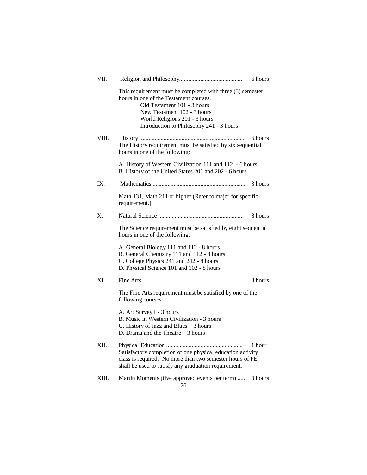| VII.  |                                                                                                                                                                                                                                                 | 6 hours |
|-------|-------------------------------------------------------------------------------------------------------------------------------------------------------------------------------------------------------------------------------------------------|---------|
|       | This requirement must be completed with three (3) semester<br>hours in one of the Testament courses.<br>Old Testament 101 - 3 hours<br>New Testament 102 - 3 hours<br>World Religions 201 - 3 hours<br>Introduction to Philosophy 241 - 3 hours |         |
| VIII. | The History requirement must be satisfied by six sequential<br>hours in one of the following:                                                                                                                                                   | 6 hours |
|       | A. History of Western Civilization 111 and 112 - 6 hours<br>B. History of the United States 201 and 202 - 6 hours                                                                                                                               |         |
| IX.   |                                                                                                                                                                                                                                                 | 3 hours |
|       | Math 131, Math 211 or higher (Refer to major for specific<br>requirement.)                                                                                                                                                                      |         |
| X.    |                                                                                                                                                                                                                                                 | 8 hours |
|       | The Science requirement must be satisfied by eight sequential<br>hours in one of the following:                                                                                                                                                 |         |
|       | A. General Biology 111 and 112 - 8 hours<br>B. General Chemistry 111 and 112 - 8 hours<br>C. College Physics 241 and 242 - 8 hours<br>D. Physical Science 101 and 102 - 8 hours                                                                 |         |
| XI.   |                                                                                                                                                                                                                                                 | 3 hours |
|       | The Fine Arts requirement must be satisfied by one of the<br>following courses:                                                                                                                                                                 |         |
|       | A. Art Survey I - 3 hours<br>B. Music in Western Civilization - 3 hours<br>C. History of Jazz and Blues - 3 hours<br>D. Drama and the Theatre $-3$ hours                                                                                        |         |
| XII.  | Satisfactory completion of one physical education activity<br>class is required. No more than two semester hours of PE<br>shall be used to satisfy any graduation requirement.                                                                  | 1 hour  |
| XIII. | Martin Moments (five approved events per term)                                                                                                                                                                                                  | 0 hours |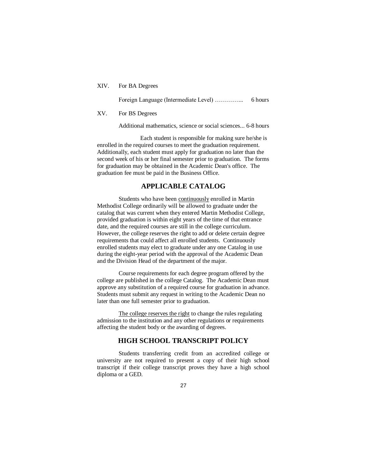XIV. For BA Degrees

Foreign Language (Intermediate Level) …………... 6 hours

### XV. For BS Degrees

Additional mathematics, science or social sciences... 6-8 hours

Each student is responsible for making sure he/she is enrolled in the required courses to meet the graduation requirement. Additionally, each student must apply for graduation no later than the second week of his or her final semester prior to graduation. The forms for graduation may be obtained in the Academic Dean's office. The graduation fee must be paid in the Business Office.

## **APPLICABLE CATALOG**

Students who have been continuously enrolled in Martin Methodist College ordinarily will be allowed to graduate under the catalog that was current when they entered Martin Methodist College, provided graduation is within eight years of the time of that entrance date, and the required courses are still in the college curriculum. However, the college reserves the right to add or delete certain degree requirements that could affect all enrolled students. Continuously enrolled students may elect to graduate under any one Catalog in use during the eight-year period with the approval of the Academic Dean and the Division Head of the department of the major.

Course requirements for each degree program offered by the college are published in the college Catalog. The Academic Dean must approve any substitution of a required course for graduation in advance. Students must submit any request in writing to the Academic Dean no later than one full semester prior to graduation.

The college reserves the right to change the rules regulating admission to the institution and any other regulations or requirements affecting the student body or the awarding of degrees.

### **HIGH SCHOOL TRANSCRIPT POLICY**

Students transferring credit from an accredited college or university are not required to present a copy of their high school transcript if their college transcript proves they have a high school diploma or a GED.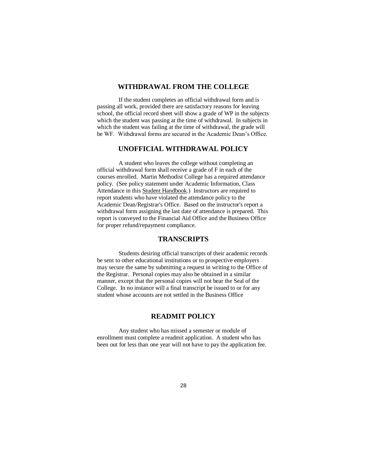# **WITHDRAWAL FROM THE COLLEGE**

If the student completes an official withdrawal form and is passing all work, provided there are satisfactory reasons for leaving school, the official record sheet will show a grade of WP in the subjects which the student was passing at the time of withdrawal. In subjects in which the student was failing at the time of withdrawal, the grade will be WF. Withdrawal forms are secured in the Academic Dean's Office.

# **UNOFFICIAL WITHDRAWAL POLICY**

A student who leaves the college without completing an official withdrawal form shall receive a grade of F in each of the courses enrolled. Martin Methodist College has a required attendance policy. (See policy statement under Academic Information, Class Attendance in this Student Handbook.) Instructors are required to report students who have violated the attendance policy to the Academic Dean/Registrar's Office. Based on the instructor's report a withdrawal form assigning the last date of attendance is prepared. This report is conveyed to the Financial Aid Office and the Business Office for proper refund/repayment compliance.

## **TRANSCRIPTS**

Students desiring official transcripts of their academic records be sent to other educational institutions or to prospective employers may secure the same by submitting a request in writing to the Office of the Registrar. Personal copies may also be obtained in a similar manner, except that the personal copies will not bear the Seal of the College. In no instance will a final transcript be issued to or for any student whose accounts are not settled in the Business Office

# **READMIT POLICY**

Any student who has missed a semester or module of enrollment must complete a readmit application. A student who has been out for less than one year will not have to pay the application fee.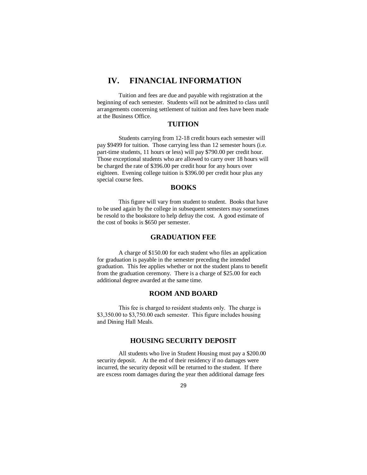# **IV. FINANCIAL INFORMATION**

Tuition and fees are due and payable with registration at the beginning of each semester. Students will not be admitted to class until arrangements concerning settlement of tuition and fees have been made at the Business Office.

### **TUITION**

Students carrying from 12-18 credit hours each semester will pay \$9499 for tuition. Those carrying less than 12 semester hours (i.e. part-time students, 11 hours or less) will pay \$790.00 per credit hour. Those exceptional students who are allowed to carry over 18 hours will be charged the rate of \$396.00 per credit hour for any hours over eighteen. Evening college tuition is \$396.00 per credit hour plus any special course fees.

### **BOOKS**

This figure will vary from student to student. Books that have to be used again by the college in subsequent semesters may sometimes be resold to the bookstore to help defray the cost. A good estimate of the cost of books is \$650 per semester.

### **GRADUATION FEE**

A charge of \$150.00 for each student who files an application for graduation is payable in the semester preceding the intended graduation. This fee applies whether or not the student plans to benefit from the graduation ceremony. There is a charge of \$25.00 for each additional degree awarded at the same time.

## **ROOM AND BOARD**

This fee is charged to resident students only. The charge is \$3,350.00 to \$3,750.00 each semester. This figure includes housing and Dining Hall Meals.

### **HOUSING SECURITY DEPOSIT**

All students who live in Student Housing must pay a \$200.00 security deposit. At the end of their residency if no damages were incurred, the security deposit will be returned to the student. If there are excess room damages during the year then additional damage fees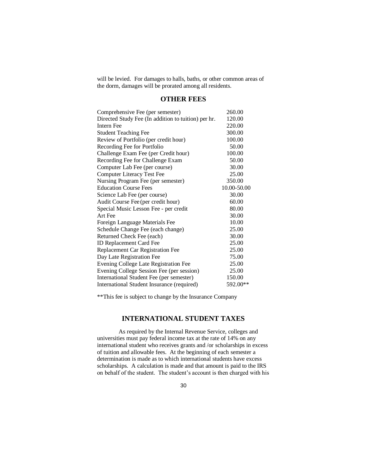will be levied. For damages to halls, baths, or other common areas of the dorm, damages will be prorated among all residents.

# **OTHER FEES**

| Comprehensive Fee (per semester)                    | 260.00      |
|-----------------------------------------------------|-------------|
| Directed Study Fee (In addition to tuition) per hr. | 120.00      |
| <b>Intern Fee</b>                                   | 220.00      |
| <b>Student Teaching Fee</b>                         | 300.00      |
| Review of Portfolio (per credit hour)               | 100.00      |
| Recording Fee for Portfolio                         | 50.00       |
| Challenge Exam Fee (per Credit hour)                | 100.00      |
| Recording Fee for Challenge Exam                    | 50.00       |
| Computer Lab Fee (per course)                       | 30.00       |
| <b>Computer Literacy Test Fee</b>                   | 25.00       |
| Nursing Program Fee (per semester)                  | 350.00      |
| <b>Education Course Fees</b>                        | 10.00-50.00 |
| Science Lab Fee (per course)                        | 30.00       |
| Audit Course Fee (per credit hour)                  | 60.00       |
| Special Music Lesson Fee - per credit               | 80.00       |
| Art Fee                                             | 30.00       |
| Foreign Language Materials Fee                      | 10.00       |
| Schedule Change Fee (each change)                   | 25.00       |
| Returned Check Fee (each)                           | 30.00       |
| ID Replacement Card Fee                             | 25.00       |
| Replacement Car Registration Fee                    | 25.00       |
| Day Late Registration Fee                           | 75.00       |
| Evening College Late Registration Fee               | 25.00       |
| Evening College Session Fee (per session)           | 25.00       |
| International Student Fee (per semester)            | 150.00      |
| International Student Insurance (required)          | 592.00**    |

\*\*This fee is subject to change by the Insurance Company

# **INTERNATIONAL STUDENT TAXES**

As required by the Internal Revenue Service, colleges and universities must pay federal income tax at the rate of 14% on any international student who receives grants and /or scholarships in excess of tuition and allowable fees. At the beginning of each semester a determination is made as to which international students have excess scholarships. A calculation is made and that amount is paid to the IRS on behalf of the student. The student's account is then charged with his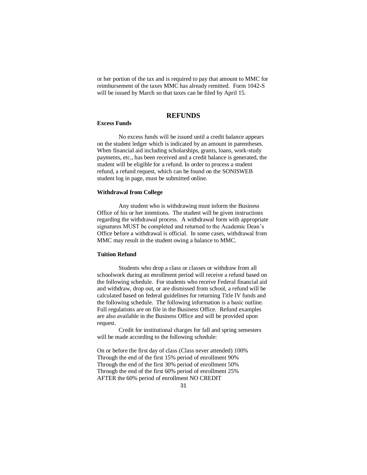or her portion of the tax and is required to pay that amount to MMC for reimbursement of the taxes MMC has already remitted. Form 1042-S will be issued by March so that taxes can be filed by April 15.

### **REFUNDS**

#### **Excess Funds**

No excess funds will be issued until a credit balance appears on the student ledger which is indicated by an amount in parentheses. When financial aid including scholarships, grants, loans, work-study payments, etc., has been received and a credit balance is generated, the student will be eligible for a refund. In order to process a student refund, a refund request, which can be found on the SONISWEB student log in page, must be submitted online.

#### **Withdrawal from College**

Any student who is withdrawing must inform the Business Office of his or her intentions. The student will be given instructions regarding the withdrawal process. A withdrawal form with appropriate signatures MUST be completed and returned to the Academic Dean's Office before a withdrawal is official. In some cases, withdrawal from MMC may result in the student owing a balance to MMC.

#### **Tuition Refund**

Students who drop a class or classes or withdraw from all schoolwork during an enrollment period will receive a refund based on the following schedule. For students who receive Federal financial aid and withdraw, drop out, or are dismissed from school, a refund will be calculated based on federal guidelines for returning Title IV funds and the following schedule. The following information is a basic outline. Full regulations are on file in the Business Office. Refund examples are also available in the Business Office and will be provided upon request.

Credit for institutional charges for fall and spring semesters will be made according to the following schedule:

On or before the first day of class (Class never attended) 100% Through the end of the first 15% period of enrollment 90% Through the end of the first 30% period of enrollment 50% Through the end of the first 60% period of enrollment 25% AFTER the 60% period of enrollment NO CREDIT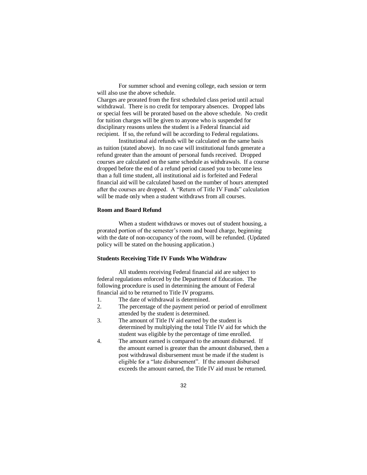For summer school and evening college, each session or term will also use the above schedule.

Charges are prorated from the first scheduled class period until actual withdrawal. There is no credit for temporary absences. Dropped labs or special fees will be prorated based on the above schedule. No credit for tuition charges will be given to anyone who is suspended for disciplinary reasons unless the student is a Federal financial aid recipient. If so, the refund will be according to Federal regulations.

Institutional aid refunds will be calculated on the same basis as tuition (stated above). In no case will institutional funds generate a refund greater than the amount of personal funds received. Dropped courses are calculated on the same schedule as withdrawals. If a course dropped before the end of a refund period caused you to become less than a full time student, all institutional aid is forfeited and Federal financial aid will be calculated based on the number of hours attempted after the courses are dropped. A "Return of Title IV Funds" calculation will be made only when a student withdraws from all courses.

### **Room and Board Refund**

When a student withdraws or moves out of student housing, a prorated portion of the semester's room and board charge, beginning with the date of non-occupancy of the room, will be refunded. (Updated policy will be stated on the housing application.)

### **Students Receiving Title IV Funds Who Withdraw**

All students receiving Federal financial aid are subject to federal regulations enforced by the Department of Education. The following procedure is used in determining the amount of Federal financial aid to be returned to Title IV programs.

- 1. The date of withdrawal is determined.
- 2. The percentage of the payment period or period of enrollment attended by the student is determined.
- 3. The amount of Title IV aid earned by the student is determined by multiplying the total Title IV aid for which the student was eligible by the percentage of time enrolled.
- 4. The amount earned is compared to the amount disbursed. If the amount earned is greater than the amount disbursed, then a post withdrawal disbursement must be made if the student is eligible for a "late disbursement". If the amount disbursed exceeds the amount earned, the Title IV aid must be returned.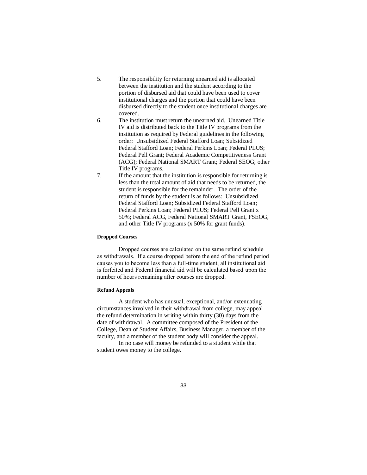- 5. The responsibility for returning unearned aid is allocated between the institution and the student according to the portion of disbursed aid that could have been used to cover institutional charges and the portion that could have been disbursed directly to the student once institutional charges are covered.
- 6. The institution must return the unearned aid. Unearned Title IV aid is distributed back to the Title IV programs from the institution as required by Federal guidelines in the following order: Unsubsidized Federal Stafford Loan; Subsidized Federal Stafford Loan; Federal Perkins Loan; Federal PLUS; Federal Pell Grant; Federal Academic Competitiveness Grant (ACG); Federal National SMART Grant; Federal SEOG; other Title IV programs.
- 7. If the amount that the institution is responsible for returning is less than the total amount of aid that needs to be returned, the student is responsible for the remainder. The order of the return of funds by the student is as follows: Unsubsidized Federal Stafford Loan; Subsidized Federal Stafford Loan; Federal Perkins Loan; Federal PLUS; Federal Pell Grant x 50%; Federal ACG, Federal National SMART Grant, FSEOG, and other Title IV programs (x 50% for grant funds).

#### **Dropped Courses**

Dropped courses are calculated on the same refund schedule as withdrawals. If a course dropped before the end of the refund period causes you to become less than a full-time student, all institutional aid is forfeited and Federal financial aid will be calculated based upon the number of hours remaining after courses are dropped.

#### **Refund Appeals**

A student who has unusual, exceptional, and/or extenuating circumstances involved in their withdrawal from college, may appeal the refund determination in writing within thirty (30) days from the date of withdrawal. A committee composed of the President of the College, Dean of Student Affairs, Business Manager, a member of the faculty, and a member of the student body will consider the appeal.

In no case will money be refunded to a student while that student owes money to the college.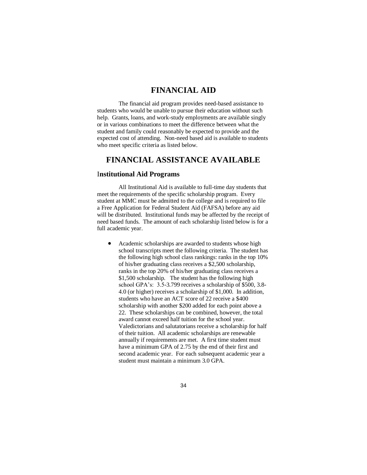# **FINANCIAL AID**

The financial aid program provides need-based assistance to students who would be unable to pursue their education without such help. Grants, loans, and work-study employments are available singly or in various combinations to meet the difference between what the student and family could reasonably be expected to provide and the expected cost of attending. Non-need based aid is available to students who meet specific criteria as listed below.

# **FINANCIAL ASSISTANCE AVAILABLE**

#### I**nstitutional Aid Programs**

All Institutional Aid is available to full-time day students that meet the requirements of the specific scholarship program. Every student at MMC must be admitted to the college and is required to file a Free Application for Federal Student Aid (FAFSA) before any aid will be distributed. Institutional funds may be affected by the receipt of need based funds. The amount of each scholarship listed below is for a full academic year.

 Academic scholarships are awarded to students whose high school transcripts meet the following criteria. The student has the following high school class rankings: ranks in the top 10% of his/her graduating class receives a \$2,500 scholarship, ranks in the top 20% of his/her graduating class receives a \$1,500 scholarship. The student has the following high school GPA's: 3.5-3.799 receives a scholarship of \$500, 3.8- 4.0 (or higher) receives a scholarship of \$1,000. In addition, students who have an ACT score of 22 receive a \$400 scholarship with another \$200 added for each point above a 22. These scholarships can be combined, however, the total award cannot exceed half tuition for the school year. Valedictorians and salutatorians receive a scholarship for half of their tuition. All academic scholarships are renewable annually if requirements are met. A first time student must have a minimum GPA of 2.75 by the end of their first and second academic year. For each subsequent academic year a student must maintain a minimum 3.0 GPA.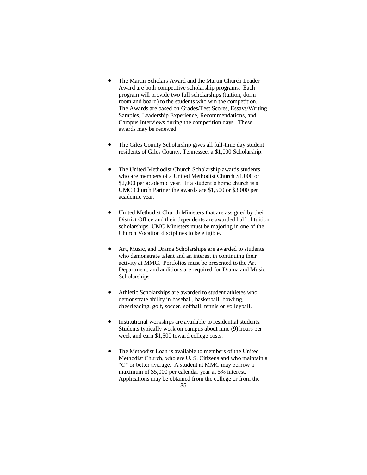- The Martin Scholars Award and the Martin Church Leader Award are both competitive scholarship programs. Each program will provide two full scholarships (tuition, dorm room and board) to the students who win the competition. The Awards are based on Grades/Test Scores, Essays/Writing Samples, Leadership Experience, Recommendations, and Campus Interviews during the competition days. These awards may be renewed.
- The Giles County Scholarship gives all full-time day student residents of Giles County, Tennessee, a \$1,000 Scholarship.
- The United Methodist Church Scholarship awards students who are members of a United Methodist Church \$1,000 or \$2,000 per academic year. If a student's home church is a UMC Church Partner the awards are \$1,500 or \$3,000 per academic year.
- United Methodist Church Ministers that are assigned by their District Office and their dependents are awarded half of tuition scholarships. UMC Ministers must be majoring in one of the Church Vocation disciplines to be eligible.
- Art, Music, and Drama Scholarships are awarded to students who demonstrate talent and an interest in continuing their activity at MMC. Portfolios must be presented to the Art Department, and auditions are required for Drama and Music Scholarships.
- Athletic Scholarships are awarded to student athletes who demonstrate ability in baseball, basketball, bowling, cheerleading, golf, soccer, softball, tennis or volleyball.
- Institutional workships are available to residential students. Students typically work on campus about nine (9) hours per week and earn \$1,500 toward college costs.
- 35 The Methodist Loan is available to members of the United Methodist Church, who are U. S. Citizens and who maintain a "C" or better average. A student at MMC may borrow a maximum of \$5,000 per calendar year at 5% interest. Applications may be obtained from the college or from the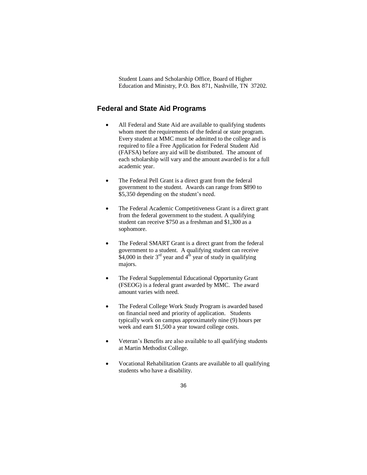Student Loans and Scholarship Office, Board of Higher Education and Ministry, P.O. Box 871, Nashville, TN 37202.

# **Federal and State Aid Programs**

- All Federal and State Aid are available to qualifying students whom meet the requirements of the federal or state program. Every student at MMC must be admitted to the college and is required to file a Free Application for Federal Student Aid (FAFSA) before any aid will be distributed. The amount of each scholarship will vary and the amount awarded is for a full academic year.
- The Federal Pell Grant is a direct grant from the federal government to the student. Awards can range from \$890 to \$5,350 depending on the student's need.
- The Federal Academic Competitiveness Grant is a direct grant from the federal government to the student. A qualifying student can receive \$750 as a freshman and \$1,300 as a sophomore.
- The Federal SMART Grant is a direct grant from the federal government to a student. A qualifying student can receive  $$4,000$  in their 3<sup>rd</sup> year and 4<sup>th</sup> year of study in qualifying majors.
- The Federal Supplemental Educational Opportunity Grant (FSEOG) is a federal grant awarded by MMC. The award amount varies with need.
- The Federal College Work Study Program is awarded based on financial need and priority of application. Students typically work on campus approximately nine (9) hours per week and earn \$1,500 a year toward college costs.
- Veteran's Benefits are also available to all qualifying students at Martin Methodist College.
- Vocational Rehabilitation Grants are available to all qualifying students who have a disability.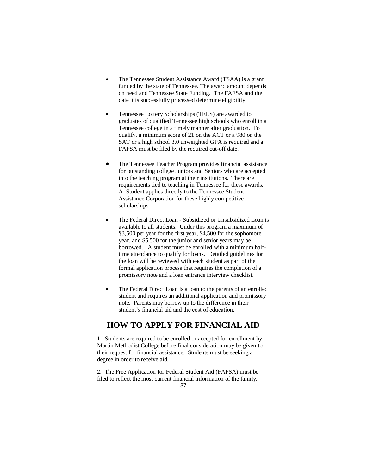- The Tennessee Student Assistance Award (TSAA) is a grant funded by the state of Tennessee. The award amount depends on need and Tennessee State Funding. The FAFSA and the date it is successfully processed determine eligibility.
- Tennessee Lottery Scholarships (TELS) are awarded to graduates of qualified Tennessee high schools who enroll in a Tennessee college in a timely manner after graduation. To qualify, a minimum score of 21 on the ACT or a 980 on the SAT or a high school 3.0 unweighted GPA is required and a FAFSA must be filed by the required cut-off date.
- The Tennessee Teacher Program provides financial assistance for outstanding college Juniors and Seniors who are accepted into the teaching program at their institutions. There are requirements tied to teaching in Tennessee for these awards. A Student applies directly to the Tennessee Student Assistance Corporation for these highly competitive scholarships.
- The Federal Direct Loan Subsidized or Unsubsidized Loan is available to all students. Under this program a maximum of \$3,500 per year for the first year, \$4,500 for the sophomore year, and \$5,500 for the junior and senior years may be borrowed. A student must be enrolled with a minimum halftime attendance to qualify for loans. Detailed guidelines for the loan will be reviewed with each student as part of the formal application process that requires the completion of a promissory note and a loan entrance interview checklist.
- The Federal Direct Loan is a loan to the parents of an enrolled student and requires an additional application and promissory note. Parents may borrow up to the difference in their student's financial aid and the cost of education.

# **HOW TO APPLY FOR FINANCIAL AID**

1. Students are required to be enrolled or accepted for enrollment by Martin Methodist College before final consideration may be given to their request for financial assistance. Students must be seeking a degree in order to receive aid.

2. The Free Application for Federal Student Aid (FAFSA) must be filed to reflect the most current financial information of the family.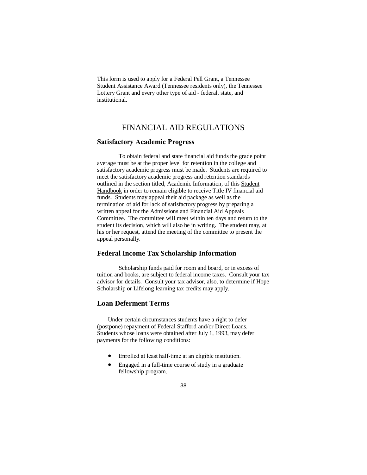This form is used to apply for a Federal Pell Grant, a Tennessee Student Assistance Award (Tennessee residents only), the Tennessee Lottery Grant and every other type of aid - federal, state, and institutional.

# FINANCIAL AID REGULATIONS

#### **Satisfactory Academic Progress**

To obtain federal and state financial aid funds the grade point average must be at the proper level for retention in the college and satisfactory academic progress must be made. Students are required to meet the satisfactory academic progress and retention standards outlined in the section titled, Academic Information, of this Student Handbook in order to remain eligible to receive Title IV financial aid funds. Students may appeal their aid package as well as the termination of aid for lack of satisfactory progress by preparing a written appeal for the Admissions and Financial Aid Appeals Committee. The committee will meet within ten days and return to the student its decision, which will also be in writing. The student may, at his or her request, attend the meeting of the committee to present the appeal personally.

## **Federal Income Tax Scholarship Information**

Scholarship funds paid for room and board, or in excess of tuition and books, are subject to federal income taxes. Consult your tax advisor for details. Consult your tax advisor, also, to determine if Hope Scholarship or Lifelong learning tax credits may apply.

# **Loan Deferment Terms**

Under certain circumstances students have a right to defer (postpone) repayment of Federal Stafford and/or Direct Loans. Students whose loans were obtained after July 1, 1993, may defer payments for the following conditions:

- Enrolled at least half-time at an eligible institution.
- Engaged in a full-time course of study in a graduate fellowship program.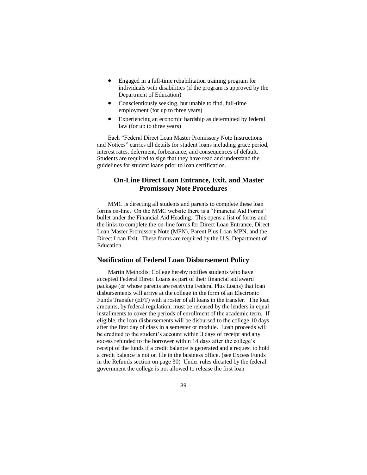- Engaged in a full-time rehabilitation training program for individuals with disabilities (if the program is approved by the Department of Education)
- Conscientiously seeking, but unable to find, full-time employment (for up to three years)
- Experiencing an economic hardship as determined by federal law (for up to three years)

Each "Federal Direct Loan Master Promissory Note Instructions and Notices" carries all details for student loans including grace period, interest rates, deferment, forbearance, and consequences of default. Students are required to sign that they have read and understand the guidelines for student loans prior to loan certification.

# **On-Line Direct Loan Entrance, Exit, and Master Promissory Note Procedures**

MMC is directing all students and parents to complete these loan forms on-line. On the MMC website there is a "Financial Aid Forms" bullet under the Financial Aid Heading. This opens a list of forms and the links to complete the on-line forms for Direct Loan Entrance, Direct Loan Master Promissory Note (MPN), Parent Plus Loan MPN, and the Direct Loan Exit. These forms are required by the U.S. Department of Education.

#### **Notification of Federal Loan Disbursement Policy**

Martin Methodist College hereby notifies students who have accepted Federal Direct Loans as part of their financial aid award package (or whose parents are receiving Federal Plus Loans) that loan disbursements will arrive at the college in the form of an Electronic Funds Transfer (EFT) with a roster of all loans in the transfer. The loan amounts, by federal regulation, must be released by the lenders in equal installments to cover the periods of enrollment of the academic term. If eligible, the loan disbursements will be disbursed to the college 10 days after the first day of class in a semester or module. Loan proceeds will be credited to the student's account within 3 days of receipt and any excess refunded to the borrower within 14 days after the college's receipt of the funds if a credit balance is generated and a request to hold a credit balance is not on file in the business office. (see Excess Funds in the Refunds section on page 30) Under rules dictated by the federal government the college is not allowed to release the first loan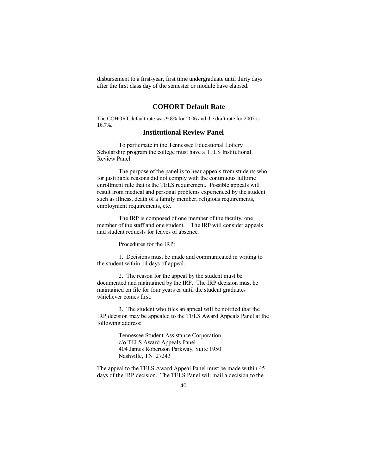disbursement to a first-year, first time undergraduate until thirty days after the first class day of the semester or module have elapsed.

### **COHORT Default Rate**

The COHORT default rate was 9.8% for 2006 and the draft rate for 2007 is 16.7%.

# **Institutional Review Panel**

To participate in the Tennessee Educational Lottery Scholarship program the college must have a TELS Institutional Review Panel.

The purpose of the panel is to hear appeals from students who for justifiable reasons did not comply with the continuous fulltime enrollment rule that is the TELS requirement. Possible appeals will result from medical and personal problems experienced by the student such as illness, death of a family member, religious requirements, employment requirements, etc.

The IRP is composed of one member of the faculty, one member of the staff and one student. The IRP will consider appeals and student requests for leaves of absence.

Procedures for the IRP:

1. Decisions must be made and communicated in writing to the student within 14 days of appeal.

2. The reason for the appeal by the student must be documented and maintained by the IRP. The IRP decision must be maintained on file for four years or until the student graduates whichever comes first.

3. The student who files an appeal will be notified that the IRP decision may be appealed to the TELS Award Appeals Panel at the following address:

> Tennessee Student Assistance Corporation c/o TELS Award Appeals Panel 404 James Robertson Parkway, Suite 1950 Nashville, TN 27243

The appeal to the TELS Award Appeal Panel must be made within 45 days of the IRP decision. The TELS Panel will mail a decision to the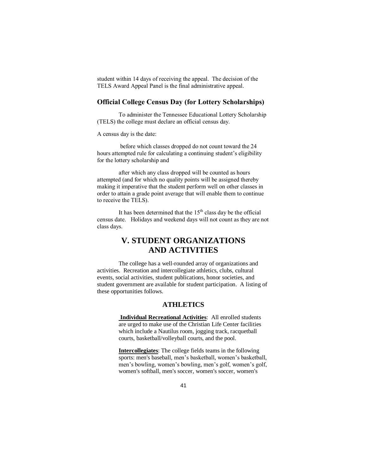student within 14 days of receiving the appeal. The decision of the TELS Award Appeal Panel is the final administrative appeal.

# **Official College Census Day (for Lottery Scholarships)**

To administer the Tennessee Educational Lottery Scholarship (TELS) the college must declare an official census day.

A census day is the date:

before which classes dropped do not count toward the 24 hours attempted rule for calculating a continuing student's eligibility for the lottery scholarship and

after which any class dropped will be counted as hours attempted (and for which no quality points will be assigned thereby making it imperative that the student perform well on other classes in order to attain a grade point average that will enable them to continue to receive the TELS).

It has been determined that the  $15<sup>th</sup>$  class day be the official census date. Holidays and weekend days will not count as they are not class days.

# **V. STUDENT ORGANIZATIONS AND ACTIVITIES**

The college has a well-rounded array of organizations and activities. Recreation and intercollegiate athletics, clubs, cultural events, social activities, student publications, honor societies, and student government are available for student participation. A listing of these opportunities follows.

## **ATHLETICS**

**Individual Recreational Activities**: All enrolled students are urged to make use of the Christian Life Center facilities which include a Nautilus room, jogging track, racquetball courts, basketball/volleyball courts, and the pool.

**Intercollegiates**: The college fields teams in the following sports: men's baseball, men's basketball, women's basketball, men's bowling, women's bowling, men's golf, women's golf, women's softball, men's soccer, women's soccer, women's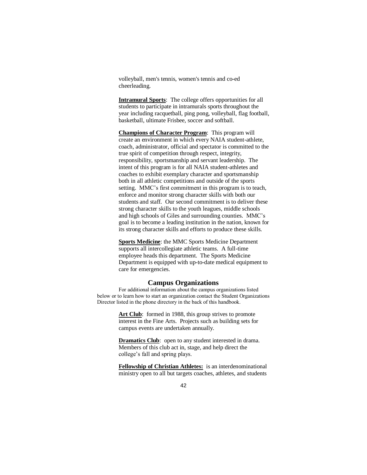volleyball, men's tennis, women's tennis and co-ed cheerleading.

**Intramural Sports**: The college offers opportunities for all students to participate in intramurals sports throughout the year including racquetball, ping pong, volleyball, flag football, basketball, ultimate Frisbee, soccer and softball.

**Champions of Character Program**: This program will create an environment in which every NAIA student-athlete, coach, administrator, official and spectator is committed to the true spirit of competition through respect, integrity, responsibility, sportsmanship and servant leadership. The intent of this program is for all NAIA student-athletes and coaches to exhibit exemplary character and sportsmanship both in all athletic competitions and outside of the sports setting. MMC's first commitment in this program is to teach, enforce and monitor strong character skills with both our students and staff. Our second commitment is to deliver these strong character skills to the youth leagues, middle schools and high schools of Giles and surrounding counties. MMC's goal is to become a leading institution in the nation, known for its strong character skills and efforts to produce these skills.

**Sports Medicine**: the MMC Sports Medicine Department supports all intercollegiate athletic teams. A full-time employee heads this department. The Sports Medicine Department is equipped with up-to-date medical equipment to care for emergencies.

#### **Campus Organizations**

For additional information about the campus organizations listed below or to learn how to start an organization contact the Student Organizations Director listed in the phone directory in the back of this handbook.

> Art Club: formed in 1988, this group strives to promote interest in the Fine Arts. Projects such as building sets for campus events are undertaken annually.

> **Dramatics Club**: open to any student interested in drama. Members of this club act in, stage, and help direct the college's fall and spring plays.

**Fellowship of Christian Athletes:** is an interdenominational ministry open to all but targets coaches, athletes, and students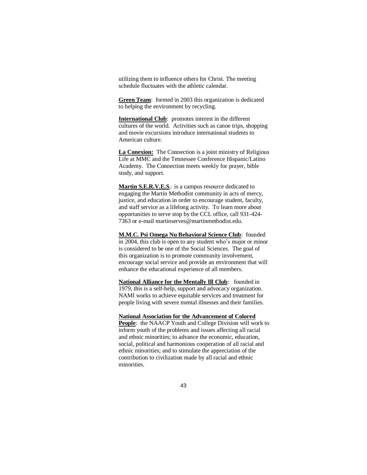utilizing them to influence others for Christ. The meeting schedule fluctuates with the athletic calendar.

**Green Team**: formed in 2003 this organization is dedicated to helping the environment by recycling.

**International Club**: promotes interest in the different cultures of the world. Activities such as canoe trips, shopping and movie excursions introduce international students to American culture.

**La Conexion:** The Connection is a joint ministry of Religious Life at MMC and the Tennessee Conference Hispanic/Latino Academy. The Connection meets weekly for prayer, bible study, and support.

**Martin S.E.R.V.E.S.**: is a campus resource dedicated to engaging the Martin Methodist community in acts of mercy, justice, and education in order to encourage student, faculty, and staff service as a lifelong activity. To learn more about opportunities to serve stop by the CCL office, call 931-424- 7363 or e-mail martinserves@martinmethodist.edu.

**M.M.C. Psi Omega Nu Behavioral Science Club**: founded in 2004, this club is open to any student who's major or minor is considered to be one of the Social Sciences. The goal of this organization is to promote community involvement, encourage social service and provide an environment that will enhance the educational experience of all members.

**National Alliance for the Mentally Ill Club**: founded in 1979, this is a self-help, support and advocacy organization. NAMI works to achieve equitable services and treatment for people living with severe mental illnesses and their families.

**National Association for the Advancement of Colored** 

**People**: the NAACP Youth and College Division will work to inform youth of the problems and issues affecting all racial and ethnic minorities; to advance the economic, education, social, political and harmonious cooperation of all racial and ethnic minorities; and to stimulate the appreciation of the contribution to civilization made by all racial and ethnic minorities.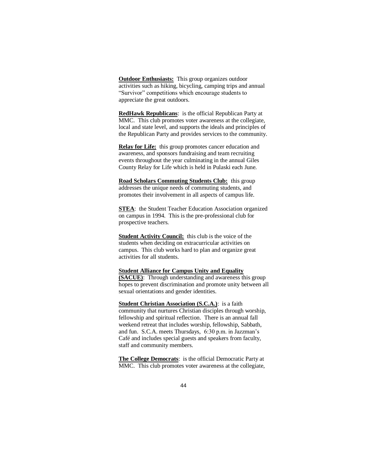**Outdoor Enthusiasts:** This group organizes outdoor activities such as hiking, bicycling, camping trips and annual "Survivor" competitions which encourage students to appreciate the great outdoors.

**RedHawk Republicans**: is the official Republican Party at MMC. This club promotes voter awareness at the collegiate, local and state level, and supports the ideals and principles of the Republican Party and provides services to the community.

**Relay for Life:** this group promotes cancer education and awareness, and sponsors fundraising and team recruiting events throughout the year culminating in the annual Giles County Relay for Life which is held in Pulaski each June.

**Road Scholars Commuting Students Club:** this group addresses the unique needs of commuting students, and promotes their involvement in all aspects of campus life.

**STEA**: the Student Teacher Education Association organized on campus in 1994. This is the pre-professional club for prospective teachers.

**Student Activity Council:** this club is the voice of the students when deciding on extracurricular activities on campus. This club works hard to plan and organize great activities for all students.

#### **Student Alliance for Campus Unity and Equality**

**(SACUE)**: Through understanding and awareness this group hopes to prevent discrimination and promote unity between all sexual orientations and gender identities.

**Student Christian Association (S.C.A.)**: is a faith community that nurtures Christian disciples through worship, fellowship and spiritual reflection. There is an annual fall weekend retreat that includes worship, fellowship, Sabbath, and fun. S.C.A. meets Thursdays, 6:30 p.m. in Jazzman's Café and includes special guests and speakers from faculty, staff and community members.

**The College Democrats**: is the official Democratic Party at MMC. This club promotes voter awareness at the collegiate,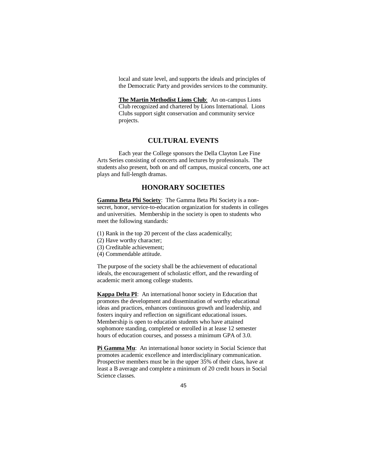local and state level, and supports the ideals and principles of the Democratic Party and provides services to the community.

**The Martin Methodist Lions Club**: An on-campus Lions Club recognized and chartered by Lions International. Lions Clubs support sight conservation and community service projects.

#### **CULTURAL EVENTS**

Each year the College sponsors the Della Clayton Lee Fine Arts Series consisting of concerts and lectures by professionals. The students also present, both on and off campus, musical concerts, one act plays and full-length dramas.

## **HONORARY SOCIETIES**

**Gamma Beta Phi Society**: The Gamma Beta Phi Society is a nonsecret, honor, service-to-education organization for students in colleges and universities. Membership in the society is open to students who meet the following standards:

- (1) Rank in the top 20 percent of the class academically;
- (2) Have worthy character;
- (3) Creditable achievement;
- (4) Commendable attitude.

The purpose of the society shall be the achievement of educational ideals, the encouragement of scholastic effort, and the rewarding of academic merit among college students.

**Kappa Delta PI**: An international honor society in Education that promotes the development and dissemination of worthy educational ideas and practices, enhances continuous growth and leadership, and fosters inquiry and reflection on significant educational issues. Membership is open to education students who have attained sophomore standing, completed or enrolled in at lease 12 semester hours of education courses, and possess a minimum GPA of 3.0.

**Pi Gamma Mu**: An international honor society in Social Science that promotes academic excellence and interdisciplinary communication. Prospective members must be in the upper 35% of their class, have at least a B average and complete a minimum of 20 credit hours in Social Science classes.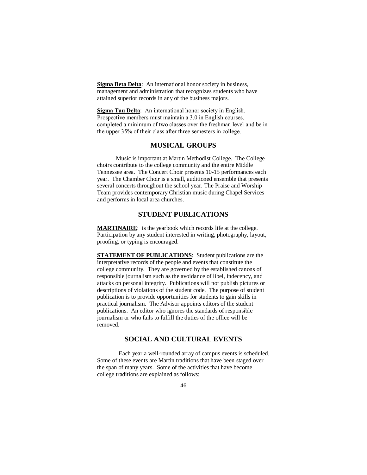**Sigma Beta Delta**: An international honor society in business, management and administration that recognizes students who have attained superior records in any of the business majors.

**Sigma Tau Delta**: An international honor society in English. Prospective members must maintain a 3.0 in English courses, completed a minimum of two classes over the freshman level and be in the upper 35% of their class after three semesters in college.

# **MUSICAL GROUPS**

Music is important at Martin Methodist College. The College choirs contribute to the college community and the entire Middle Tennessee area. The Concert Choir presents 10-15 performances each year. The Chamber Choir is a small, auditioned ensemble that presents several concerts throughout the school year. The Praise and Worship Team provides contemporary Christian music during Chapel Services and performs in local area churches.

# **STUDENT PUBLICATIONS**

**MARTINAIRE:** is the yearbook which records life at the college. Participation by any student interested in writing, photography, layout, proofing, or typing is encouraged.

**STATEMENT OF PUBLICATIONS**: Student publications are the interpretative records of the people and events that constitute the college community. They are governed by the established canons of responsible journalism such as the avoidance of libel, indecency, and attacks on personal integrity. Publications will not publish pictures or descriptions of violations of the student code. The purpose of student publication is to provide opportunities for students to gain skills in practical journalism. The Advisor appoints editors of the student publications. An editor who ignores the standards of responsible journalism or who fails to fulfill the duties of the office will be removed.

#### **SOCIAL AND CULTURAL EVENTS**

Each year a well-rounded array of campus events is scheduled. Some of these events are Martin traditions that have been staged over the span of many years. Some of the activities that have become college traditions are explained as follows: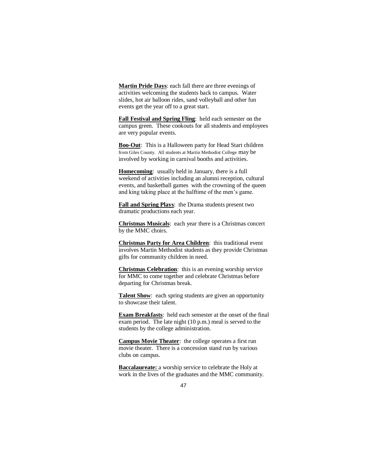**Martin Pride Days**: each fall there are three evenings of activities welcoming the students back to campus. Water slides, hot air balloon rides, sand volleyball and other fun events get the year off to a great start.

**Fall Festival and Spring Fling**: held each semester on the campus green. These cookouts for all students and employees are very popular events.

**Boo-Out**: This is a Halloween party for Head Start children from Giles County. All students at Martin Methodist College may be involved by working in carnival booths and activities.

**Homecoming**: usually held in January, there is a full weekend of activities including an alumni reception, cultural events, and basketball games with the crowning of the queen and king taking place at the halftime of the men's game.

**Fall and Spring Plays**: the Drama students present two dramatic productions each year.

**Christmas Musicals**: each year there is a Christmas concert by the MMC choirs.

**Christmas Party for Area Children**: this traditional event involves Martin Methodist students as they provide Christmas gifts for community children in need.

**Christmas Celebration**: this is an evening worship service for MMC to come together and celebrate Christmas before departing for Christmas break.

**Talent Show:** each spring students are given an opportunity to showcase their talent.

**Exam Breakfasts**: held each semester at the onset of the final exam period. The late night (10 p.m.) meal is served to the students by the college administration.

**Campus Movie Theater**: the college operates a first run movie theater. There is a concession stand run by various clubs on campus.

**Baccalaureate:** a worship service to celebrate the Holy at work in the lives of the graduates and the MMC community.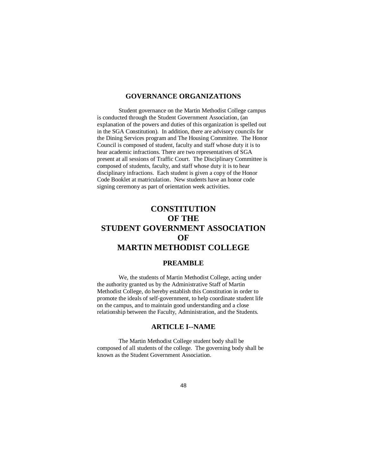## **GOVERNANCE ORGANIZATIONS**

Student governance on the Martin Methodist College campus is conducted through the Student Government Association, (an explanation of the powers and duties of this organization is spelled out in the SGA Constitution). In addition, there are advisory councils for the Dining Services program and The Housing Committee. The Honor Council is composed of student, faculty and staff whose duty it is to hear academic infractions. There are two representatives of SGA present at all sessions of Traffic Court. The Disciplinary Committee is composed of students, faculty, and staff whose duty it is to hear disciplinary infractions. Each student is given a copy of the Honor Code Booklet at matriculation. New students have an honor code signing ceremony as part of orientation week activities.

# **CONSTITUTION OF THE STUDENT GOVERNMENT ASSOCIATION OF MARTIN METHODIST COLLEGE**

### **PREAMBLE**

We, the students of Martin Methodist College, acting under the authority granted us by the Administrative Staff of Martin Methodist College, do hereby establish this Constitution in order to promote the ideals of self-government, to help coordinate student life on the campus, and to maintain good understanding and a close relationship between the Faculty, Administration, and the Students.

# **ARTICLE I--NAME**

The Martin Methodist College student body shall be composed of all students of the college. The governing body shall be known as the Student Government Association.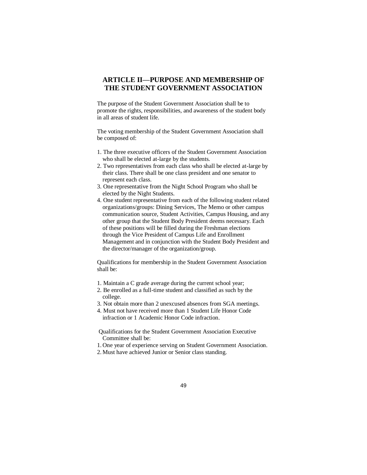# **ARTICLE II—PURPOSE AND MEMBERSHIP OF THE STUDENT GOVERNMENT ASSOCIATION**

The purpose of the Student Government Association shall be to promote the rights, responsibilities, and awareness of the student body in all areas of student life.

The voting membership of the Student Government Association shall be composed of:

- 1. The three executive officers of the Student Government Association who shall be elected at-large by the students.
- 2. Two representatives from each class who shall be elected at-large by their class. There shall be one class president and one senator to represent each class.
- 3. One representative from the Night School Program who shall be elected by the Night Students.
- 4. One student representative from each of the following student related organizations/groups: Dining Services, The Memo or other campus communication source, Student Activities, Campus Housing, and any other group that the Student Body President deems necessary. Each of these positions will be filled during the Freshman elections through the Vice President of Campus Life and Enrollment Management and in conjunction with the Student Body President and the director/manager of the organization/group.

Qualifications for membership in the Student Government Association shall be:

- 1. Maintain a C grade average during the current school year;
- 2. Be enrolled as a full-time student and classified as such by the college.
- 3. Not obtain more than 2 unexcused absences from SGA meetings.
- 4. Must not have received more than 1 Student Life Honor Code infraction or 1 Academic Honor Code infraction.
- Qualifications for the Student Government Association Executive Committee shall be:
- 1. One year of experience serving on Student Government Association.
- 2. Must have achieved Junior or Senior class standing.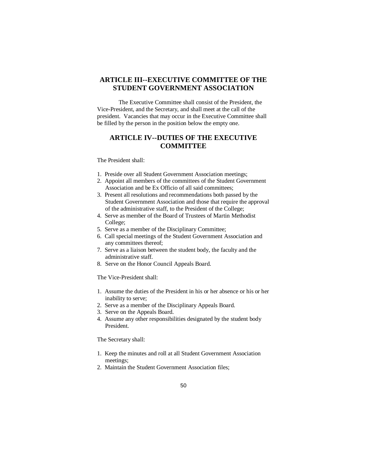# **ARTICLE III--EXECUTIVE COMMITTEE OF THE STUDENT GOVERNMENT ASSOCIATION**

The Executive Committee shall consist of the President, the Vice-President, and the Secretary, and shall meet at the call of the president. Vacancies that may occur in the Executive Committee shall be filled by the person in the position below the empty one.

# **ARTICLE IV--DUTIES OF THE EXECUTIVE COMMITTEE**

The President shall:

- 1. Preside over all Student Government Association meetings;
- 2. Appoint all members of the committees of the Student Government Association and be Ex Officio of all said committees;
- 3. Present all resolutions and recommendations both passed by the Student Government Association and those that require the approval of the administrative staff, to the President of the College;
- 4. Serve as member of the Board of Trustees of Martin Methodist College;
- 5. Serve as a member of the Disciplinary Committee;
- 6. Call special meetings of the Student Government Association and any committees thereof;
- 7. Serve as a liaison between the student body, the faculty and the administrative staff.
- 8. Serve on the Honor Council Appeals Board.

The Vice-President shall:

- 1. Assume the duties of the President in his or her absence or his or her inability to serve;
- 2. Serve as a member of the Disciplinary Appeals Board.
- 3. Serve on the Appeals Board.
- 4. Assume any other responsibilities designated by the student body President.

The Secretary shall:

- 1. Keep the minutes and roll at all Student Government Association meetings;
- 2. Maintain the Student Government Association files;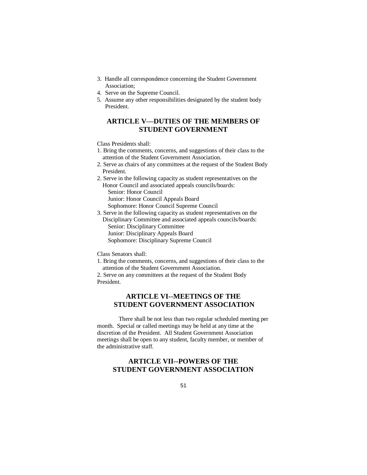- 3. Handle all correspondence concerning the Student Government Association;
- 4. Serve on the Supreme Council.
- 5. Assume any other responsibilities designated by the student body President.

# **ARTICLE V—DUTIES OF THE MEMBERS OF STUDENT GOVERNMENT**

Class Presidents shall:

- 1. Bring the comments, concerns, and suggestions of their class to the attention of the Student Government Association.
- 2. Serve as chairs of any committees at the request of the Student Body President.
- 2. Serve in the following capacity as student representatives on the Honor Council and associated appeals councils/boards: Senior: Honor Council Junior: Honor Council Appeals Board
- Sophomore: Honor Council Supreme Council
- 3. Serve in the following capacity as student representatives on the Disciplinary Committee and associated appeals councils/boards: Senior: Disciplinary Committee

- Junior: Disciplinary Appeals Board
- Sophomore: Disciplinary Supreme Council

Class Senators shall:

1. Bring the comments, concerns, and suggestions of their class to the attention of the Student Government Association.

2. Serve on any committees at the request of the Student Body President.

# **ARTICLE VI--MEETINGS OF THE STUDENT GOVERNMENT ASSOCIATION**

There shall be not less than two regular scheduled meeting per month. Special or called meetings may be held at any time at the discretion of the President. All Student Government Association meetings shall be open to any student, faculty member, or member of the administrative staff.

# **ARTICLE VII--POWERS OF THE STUDENT GOVERNMENT ASSOCIATION**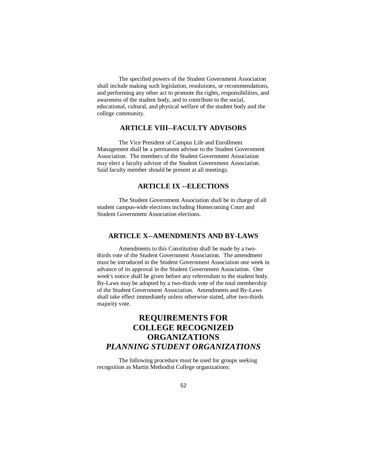The specified powers of the Student Government Association shall include making such legislation, resolutions, or recommendations, and performing any other act to promote the rights, responsibilities, and awareness of the student body, and to contribute to the social, educational, cultural, and physical welfare of the student body and the college community.

# **ARTICLE VIII--FACULTY ADVISORS**

The Vice President of Campus Life and Enrollment Management shall be a permanent advisor to the Student Government Association. The members of the Student Government Association may elect a faculty advisor of the Student Government Association. Said faculty member should be present at all meetings.

# **ARTICLE IX --ELECTIONS**

The Student Government Association shall be in charge of all student campus-wide elections including Homecoming Court and Student Government Association elections.

# **ARTICLE X--AMENDMENTS AND BY-LAWS**

Amendments to this Constitution shall be made by a twothirds vote of the Student Government Association. The amendment must be introduced in the Student Government Association one week in advance of its approval in the Student Government Association. One week's notice shall be given before any referendum to the student body. By-Laws may be adopted by a two-thirds vote of the total membership of the Student Government Association. Amendments and By-Laws shall take effect immediately unless otherwise stated, after two-thirds majority vote.

# **REQUIREMENTS FOR COLLEGE RECOGNIZED ORGANIZATIONS** *PLANNING STUDENT ORGANIZATIONS*

The following procedure must be used for groups seeking recognition as Martin Methodist College organizations: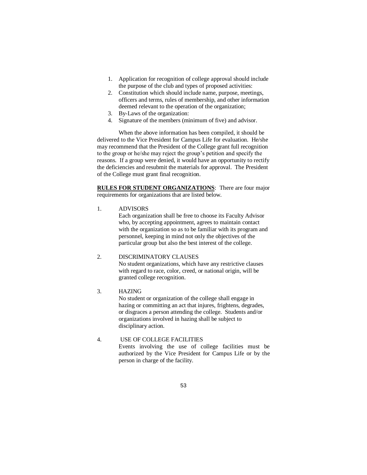- 1. Application for recognition of college approval should include the purpose of the club and types of proposed activities:
- 2. Constitution which should include name, purpose, meetings, officers and terms, rules of membership, and other information deemed relevant to the operation of the organization;
- 3. By-Laws of the organization:
- 4. Signature of the members (minimum of five) and advisor.

When the above information has been compiled, it should be delivered to the Vice President for Campus Life for evaluation. He/she may recommend that the President of the College grant full recognition to the group or he/she may reject the group's petition and specify the reasons. If a group were denied, it would have an opportunity to rectify the deficiencies and resubmit the materials for approval. The President of the College must grant final recognition.

**RULES FOR STUDENT ORGANIZATIONS**: There are four major requirements for organizations that are listed below.

1. ADVISORS

Each organization shall be free to choose its Faculty Advisor who, by accepting appointment, agrees to maintain contact with the organization so as to be familiar with its program and personnel, keeping in mind not only the objectives of the particular group but also the best interest of the college.

### 2. DISCRIMINATORY CLAUSES

No student organizations, which have any restrictive clauses with regard to race, color, creed, or national origin, will be granted college recognition.

### 3. HAZING

No student or organization of the college shall engage in hazing or committing an act that injures, frightens, degrades, or disgraces a person attending the college. Students and/or organizations involved in hazing shall be subject to disciplinary action.

# 4. USE OF COLLEGE FACILITIES

Events involving the use of college facilities must be authorized by the Vice President for Campus Life or by the person in charge of the facility.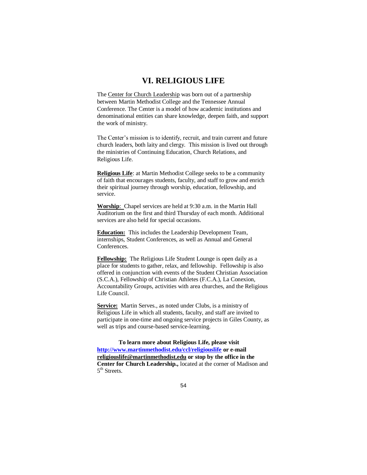# **VI. RELIGIOUS LIFE**

The Center for Church Leadership was born out of a partnership between Martin Methodist College and the Tennessee Annual Conference. The Center is a model of how academic institutions and denominational entities can share knowledge, deepen faith, and support the work of ministry.

The Center's mission is to identify, recruit, and train current and future church leaders, both laity and clergy. This mission is lived out through the ministries of Continuing Education, Church Relations, and Religious Life.

**Religious Life**: at Martin Methodist College seeks to be a community of faith that encourages students, faculty, and staff to grow and enrich their spiritual journey through worship, education, fellowship, and service.

**Worship**: Chapel services are held at 9:30 a.m. in the Martin Hall Auditorium on the first and third Thursday of each month. Additional services are also held for special occasions.

**Education:** This includes the Leadership Development Team, internships, Student Conferences, as well as Annual and General Conferences.

**Fellowship:** The Religious Life Student Lounge is open daily as a place for students to gather, relax, and fellowship. Fellowship is also offered in conjunction with events of the Student Christian Association (S.C.A.), Fellowship of Christian Athletes (F.C.A.), La Conexion, Accountability Groups, activities with area churches, and the Religious Life Council.

**Service:** Martin Serves., as noted under Clubs, is a ministry of Religious Life in which all students, faculty, and staff are invited to participate in one-time and ongoing service projects in Giles County, as well as trips and course-based service-learning.

**To learn more about Religious Life, please visit <http://www.martinmethodist.edu/ccl/religiouslife> or e-mail [religiouslife@martinmethodist.edu](mailto:religiouslife@martinmethodist.edu) or stop by the office in the Center for Church Leadership.,** located at the corner of Madison and 5<sup>th</sup> Streets.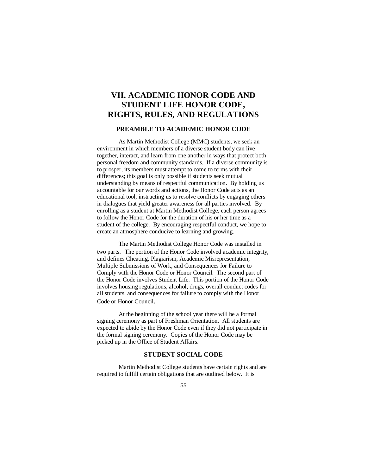# **VII. ACADEMIC HONOR CODE AND STUDENT LIFE HONOR CODE, RIGHTS, RULES, AND REGULATIONS**

### **PREAMBLE TO ACADEMIC HONOR CODE**

As Martin Methodist College (MMC) students, we seek an environment in which members of a diverse student body can live together, interact, and learn from one another in ways that protect both personal freedom and community standards. If a diverse community is to prosper, its members must attempt to come to terms with their differences; this goal is only possible if students seek mutual understanding by means of respectful communication. By holding us accountable for our words and actions, the Honor Code acts as an educational tool, instructing us to resolve conflicts by engaging others in dialogues that yield greater awareness for all parties involved. By enrolling as a student at Martin Methodist College, each person agrees to follow the Honor Code for the duration of his or her time as a student of the college. By encouraging respectful conduct, we hope to create an atmosphere conducive to learning and growing.

The Martin Methodist College Honor Code was installed in two parts. The portion of the Honor Code involved academic integrity, and defines Cheating, Plagiarism, Academic Misrepresentation, Multiple Submissions of Work, and Consequences for Failure to Comply with the Honor Code or Honor Council. The second part of the Honor Code involves Student Life. This portion of the Honor Code involves housing regulations, alcohol, drugs, overall conduct codes for all students, and consequences for failure to comply with the Honor Code or Honor Council.

At the beginning of the school year there will be a formal signing ceremony as part of Freshman Orientation. All students are expected to abide by the Honor Code even if they did not participate in the formal signing ceremony. Copies of the Honor Code may be picked up in the Office of Student Affairs.

#### **STUDENT SOCIAL CODE**

Martin Methodist College students have certain rights and are required to fulfill certain obligations that are outlined below. It is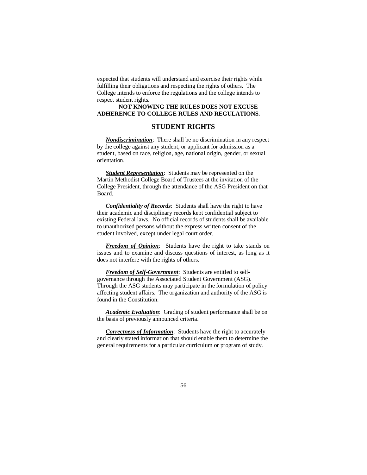expected that students will understand and exercise their rights while fulfilling their obligations and respecting the rights of others. The College intends to enforce the regulations and the college intends to respect student rights.

#### **NOT KNOWING THE RULES DOES NOT EXCUSE ADHERENCE TO COLLEGE RULES AND REGULATIONS.**

### **STUDENT RIGHTS**

*Nondiscrimination*: There shall be no discrimination in any respect by the college against any student, or applicant for admission as a student, based on race, religion, age, national origin, gender, or sexual orientation.

*Student Representation*: Students may be represented on the Martin Methodist College Board of Trustees at the invitation of the College President, through the attendance of the ASG President on that Board.

*Confidentiality of Records*: Students shall have the right to have their academic and disciplinary records kept confidential subject to existing Federal laws. No official records of students shall be available to unauthorized persons without the express written consent of the student involved, except under legal court order.

*Freedom of Opinion*: Students have the right to take stands on issues and to examine and discuss questions of interest, as long as it does not interfere with the rights of others.

*Freedom of Self-Government*: Students are entitled to selfgovernance through the Associated Student Government (ASG). Through the ASG students may participate in the formulation of policy affecting student affairs. The organization and authority of the ASG is found in the Constitution.

*Academic Evaluation*: Grading of student performance shall be on the basis of previously announced criteria.

*Correctness of Information*: Students have the right to accurately and clearly stated information that should enable them to determine the general requirements for a particular curriculum or program of study.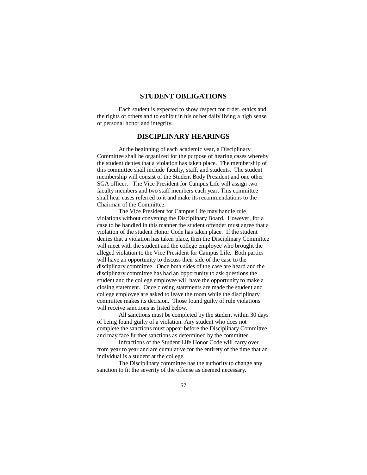## **STUDENT OBLIGATIONS**

Each student is expected to show respect for order, ethics and the rights of others and to exhibit in his or her daily living a high sense of personal honor and integrity.

# **DISCIPLINARY HEARINGS**

At the beginning of each academic year, a Disciplinary Committee shall be organized for the purpose of hearing cases whereby the student denies that a violation has taken place. The membership of this committee shall include faculty, staff, and students. The student membership will consist of the Student Body President and one other SGA officer. The Vice President for Campus Life will assign two faculty members and two staff members each year. This committee shall hear cases referred to it and make its recommendations to the Chairman of the Committee.

The Vice President for Campus Life may handle rule violations without convening the Disciplinary Board. However, for a case to be handled in this manner the student offender must agree that a violation of the student Honor Code has taken place. If the student denies that a violation has taken place, then the Disciplinary Committee will meet with the student and the college employee who brought the alleged violation to the Vice President for Campus Life. Both parties will have an opportunity to discuss their side of the case to the disciplinary committee. Once both sides of the case are heard and the disciplinary committee has had an opportunity to ask questions the student and the college employee will have the opportunity to make a closing statement. Once closing statements are made the student and college employee are asked to leave the room while the disciplinary committee makes its decision. Those found guilty of rule violations will receive sanctions as listed below.

All sanctions must be completed by the student within 30 days of being found guilty of a violation. Any student who does not complete the sanctions must appear before the Disciplinary Committee and may face further sanctions as determined by the committee.

Infractions of the Student Life Honor Code will carry over from year to year and are cumulative for the entirety of the time that an individual is a student at the college.

The Disciplinary committee has the authority to change any sanction to fit the severity of the offense as deemed necessary.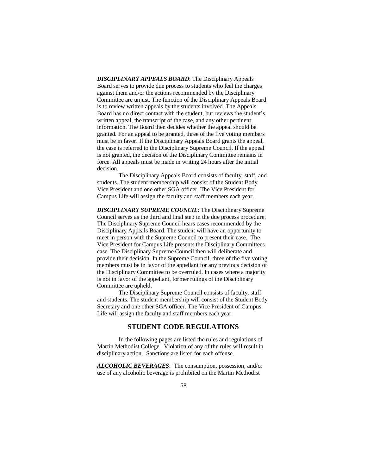*DISCIPLINARY APPEALS BOARD*: The Disciplinary Appeals Board serves to provide due process to students who feel the charges against them and/or the actions recommended by the Disciplinary Committee are unjust. The function of the Disciplinary Appeals Board is to review written appeals by the students involved. The Appeals Board has no direct contact with the student, but reviews the student's written appeal, the transcript of the case, and any other pertinent information. The Board then decides whether the appeal should be granted. For an appeal to be granted, three of the five voting members must be in favor. If the Disciplinary Appeals Board grants the appeal, the case is referred to the Disciplinary Supreme Council. If the appeal is not granted, the decision of the Disciplinary Committee remains in force. All appeals must be made in writing 24 hours after the initial decision.

The Disciplinary Appeals Board consists of faculty, staff, and students. The student membership will consist of the Student Body Vice President and one other SGA officer. The Vice President for Campus Life will assign the faculty and staff members each year.

*DISCIPLINARY SUPREME COUNCIL*: The Disciplinary Supreme Council serves as the third and final step in the due process procedure. The Disciplinary Supreme Council hears cases recommended by the Disciplinary Appeals Board. The student will have an opportunity to meet in person with the Supreme Council to present their case. The Vice President for Campus Life presents the Disciplinary Committees case. The Disciplinary Supreme Council then will deliberate and provide their decision. In the Supreme Council, three of the five voting members must be in favor of the appellant for any previous decision of the Disciplinary Committee to be overruled. In cases where a majority is not in favor of the appellant, former rulings of the Disciplinary Committee are upheld.

The Disciplinary Supreme Council consists of faculty, staff and students. The student membership will consist of the Student Body Secretary and one other SGA officer. The Vice President of Campus Life will assign the faculty and staff members each year.

## **STUDENT CODE REGULATIONS**

In the following pages are listed the rules and regulations of Martin Methodist College. Violation of any of the rules will result in disciplinary action. Sanctions are listed for each offense.

*ALCOHOLIC BEVERAGES*: The consumption, possession, and/or use of any alcoholic beverage is prohibited on the Martin Methodist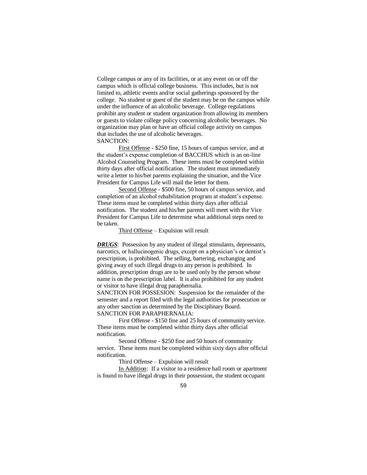College campus or any of its facilities, or at any event on or off the campus which is official college business. This includes, but is not limited to, athletic events and/or social gatherings sponsored by the college. No student or guest of the student may be on the campus while under the influence of an alcoholic beverage. College regulations prohibit any student or student organization from allowing its members or guests to violate college policy concerning alcoholic beverages. No organization may plan or have an official college activity on campus that includes the use of alcoholic beverages. SANCTION:

First Offense - \$250 fine, 15 hours of campus service, and at the student's expense completion of BACCHUS which is an on-line Alcohol Counseling Program. These items must be completed within thirty days after official notification. The student must immediately write a letter to his/her parents explaining the situation, and the Vice President for Campus Life will mail the letter for them.

Second Offense - \$500 fine, 50 hours of campus service, and completion of an alcohol rehabilitation program at student's expense. These items must be completed within thirty days after official notification. The student and his/her parents will meet with the Vice President for Campus Life to determine what additional steps need to be taken.

#### Third Offense – Expulsion will result

**DRUGS**: Possession by any student of illegal stimulants, depressants, narcotics, or hallucinogenic drugs, except on a physician's or dentist's prescription, is prohibited. The selling, bartering, exchanging and giving away of such illegal drugs to any person is prohibited. In addition, prescription drugs are to be used only by the person whose name is on the prescription label. It is also prohibited for any student or visitor to have illegal drug paraphernalia.

SANCTION FOR POSSESION: Suspension for the remainder of the semester and a report filed with the legal authorities for prosecution or any other sanction as determined by the Disciplinary Board. SANCTION FOR PARAPHERNALIA:

First Offense - \$150 fine and 25 hours of community service. These items must be completed within thirty days after official notification.

Second Offense - \$250 fine and 50 hours of community service. These items must be completed within sixty days after official notification.

Third Offense – Expulsion will result

In Addition: If a visitor to a residence hall room or apartment is found to have illegal drugs in their possession, the student occupant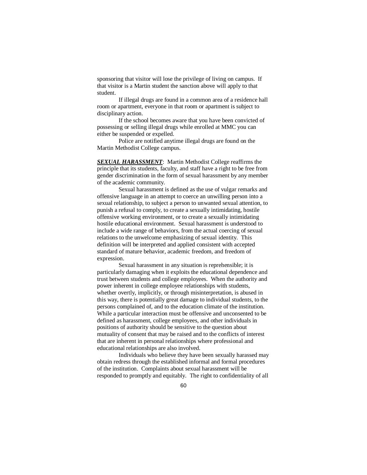sponsoring that visitor will lose the privilege of living on campus. If that visitor is a Martin student the sanction above will apply to that student.

If illegal drugs are found in a common area of a residence hall room or apartment, everyone in that room or apartment is subject to disciplinary action.

If the school becomes aware that you have been convicted of possessing or selling illegal drugs while enrolled at MMC you can either be suspended or expelled.

Police are notified anytime illegal drugs are found on the Martin Methodist College campus.

*SEXUAL HARASSMENT*: Martin Methodist College reaffirms the principle that its students, faculty, and staff have a right to be free from gender discrimination in the form of sexual harassment by any member of the academic community.

Sexual harassment is defined as the use of vulgar remarks and offensive language in an attempt to coerce an unwilling person into a sexual relationship, to subject a person to unwanted sexual attention, to punish a refusal to comply, to create a sexually intimidating, hostile offensive working environment, or to create a sexually intimidating hostile educational environment. Sexual harassment is understood to include a wide range of behaviors, from the actual coercing of sexual relations to the unwelcome emphasizing of sexual identity. This definition will be interpreted and applied consistent with accepted standard of mature behavior, academic freedom, and freedom of expression.

Sexual harassment in any situation is reprehensible; it is particularly damaging when it exploits the educational dependence and trust between students and college employees. When the authority and power inherent in college employee relationships with students, whether overtly, implicitly, or through misinterpretation, is abused in this way, there is potentially great damage to individual students, to the persons complained of, and to the education climate of the institution. While a particular interaction must be offensive and unconsented to be defined as harassment, college employees, and other individuals in positions of authority should be sensitive to the question about mutuality of consent that may be raised and to the conflicts of interest that are inherent in personal relationships where professional and educational relationships are also involved.

Individuals who believe they have been sexually harassed may obtain redress through the established informal and formal procedures of the institution. Complaints about sexual harassment will be responded to promptly and equitably. The right to confidentiality of all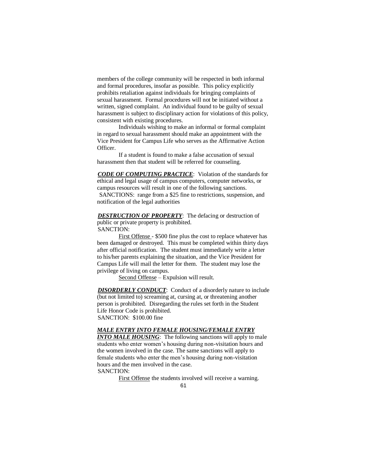members of the college community will be respected in both informal and formal procedures, insofar as possible. This policy explicitly prohibits retaliation against individuals for bringing complaints of sexual harassment. Formal procedures will not be initiated without a written, signed complaint. An individual found to be guilty of sexual harassment is subject to disciplinary action for violations of this policy, consistent with existing procedures.

Individuals wishing to make an informal or formal complaint in regard to sexual harassment should make an appointment with the Vice President for Campus Life who serves as the Affirmative Action Officer.

If a student is found to make a false accusation of sexual harassment then that student will be referred for counseling.

*CODE OF COMPUTING PRACTICE*: Violation of the standards for ethical and legal usage of campus computers, computer networks, or campus resources will result in one of the following sanctions. SANCTIONS: range from a \$25 fine to restrictions, suspension, and notification of the legal authorities

**DESTRUCTION OF PROPERTY**: The defacing or destruction of public or private property is prohibited. SANCTION:

First Offense - \$500 fine plus the cost to replace whatever has been damaged or destroyed. This must be completed within thirty days after official notification. The student must immediately write a letter to his/her parents explaining the situation, and the Vice President for Campus Life will mail the letter for them. The student may lose the privilege of living on campus.

Second Offense – Expulsion will result.

**DISORDERLY CONDUCT:** Conduct of a disorderly nature to include (but not limited to) screaming at, cursing at, or threatening another person is prohibited. Disregarding the rules set forth in the Student Life Honor Code is prohibited. SANCTION: \$100.00 fine

#### *MALE ENTRY INTO FEMALE HOUSING/FEMALE ENTRY*

*INTO MALE HOUSING:* The following sanctions will apply to male students who enter women's housing during non-visitation hours and the women involved in the case. The same sanctions will apply to female students who enter the men's housing during non-visitation hours and the men involved in the case. SANCTION:

First Offense the students involved will receive a warning.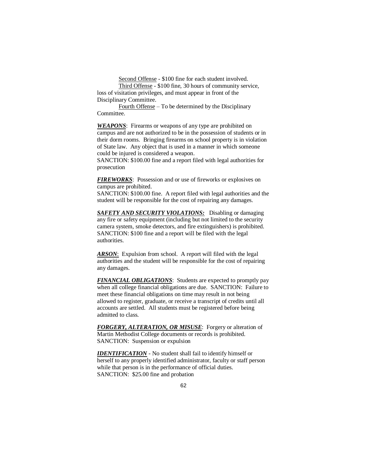Second Offense - \$100 fine for each student involved.

Third Offense - \$100 fine, 30 hours of community service, loss of visitation privileges, and must appear in front of the Disciplinary Committee.

Fourth Offense – To be determined by the Disciplinary Committee.

**WEAPONS**: Firearms or weapons of any type are prohibited on campus and are not authorized to be in the possession of students or in their dorm rooms. Bringing firearms on school property is in violation of State law. Any object that is used in a manner in which someone could be injured is considered a weapon.

SANCTION: \$100.00 fine and a report filed with legal authorities for prosecution

*FIREWORKS*: Possession and or use of fireworks or explosives on campus are prohibited.

SANCTION: \$100.00 fine. A report filed with legal authorities and the student will be responsible for the cost of repairing any damages.

*SAFETY AND SECURITY VIOLATIONS:* Disabling or damaging any fire or safety equipment (including but not limited to the security camera system, smoke detectors, and fire extinguishers) is prohibited. SANCTION: \$100 fine and a report will be filed with the legal authorities.

*ARSON*: Expulsion from school. A report will filed with the legal authorities and the student will be responsible for the cost of repairing any damages.

*FINANCIAL OBLIGATIONS*: Students are expected to promptly pay when all college financial obligations are due. SANCTION: Failure to meet these financial obligations on time may result in not being allowed to register, graduate, or receive a transcript of credits until all accounts are settled. All students must be registered before being admitted to class.

*FORGERY, ALTERATION, OR MISUSE*: Forgery or alteration of Martin Methodist College documents or records is prohibited. SANCTION: Suspension or expulsion

*IDENTIFICATION* - No student shall fail to identify himself or herself to any properly identified administrator, faculty or staff person while that person is in the performance of official duties. SANCTION: \$25.00 fine and probation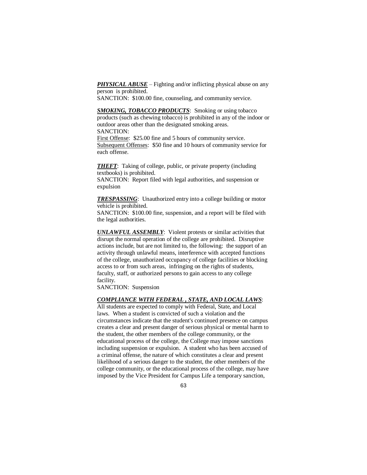**PHYSICAL ABUSE** – Fighting and/or inflicting physical abuse on any person is prohibited.

SANCTION: \$100.00 fine, counseling, and community service.

*SMOKING, TOBACCO PRODUCTS*: Smoking or using tobacco products (such as chewing tobacco) is prohibited in any of the indoor or outdoor areas other than the designated smoking areas. SANCTION:

First Offense: \$25.00 fine and 5 hours of community service. Subsequent Offenses: \$50 fine and 10 hours of community service for each offense.

*THEFT*: Taking of college, public, or private property (including textbooks) is prohibited.

SANCTION: Report filed with legal authorities, and suspension or expulsion

*TRESPASSING*: Unauthorized entry into a college building or motor vehicle is prohibited.

SANCTION: \$100.00 fine, suspension, and a report will be filed with the legal authorities.

*UNLAWFUL ASSEMBLY*: Violent protests or similar activities that disrupt the normal operation of the college are prohibited. Disruptive actions include, but are not limited to, the following: the support of an activity through unlawful means, interference with accepted functions of the college, unauthorized occupancy of college facilities or blocking access to or from such areas, infringing on the rights of students, faculty, staff, or authorized persons to gain access to any college facility.

SANCTION: Suspension

#### *COMPLIANCE WITH FEDERAL , STATE, AND LOCAL LAWS*:

All students are expected to comply with Federal, State, and Local laws. When a student is convicted of such a violation and the circumstances indicate that the student's continued presence on campus creates a clear and present danger of serious physical or mental harm to the student, the other members of the college community, or the educational process of the college, the College may impose sanctions including suspension or expulsion. A student who has been accused of a criminal offense, the nature of which constitutes a clear and present likelihood of a serious danger to the student, the other members of the college community, or the educational process of the college, may have imposed by the Vice President for Campus Life a temporary sanction,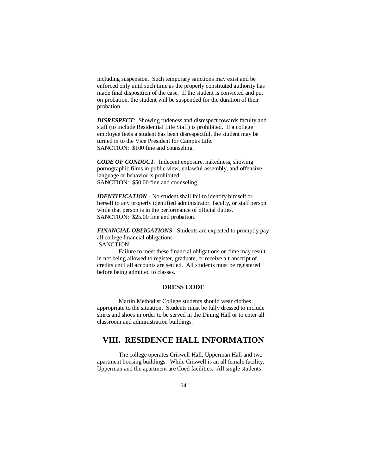including suspension. Such temporary sanctions may exist and be enforced only until such time as the properly constituted authority has made final disposition of the case. If the student is convicted and put on probation, the student will be suspended for the duration of their probation.

*DISRESPECT*: Showing rudeness and disrespect towards faculty and staff (to include Residential Life Staff) is prohibited. If a college employee feels a student has been disrespectful, the student may be turned in to the Vice President for Campus Life. SANCTION: \$100 fine and counseling.

*CODE OF CONDUCT*: Indecent exposure, nakedness, showing pornographic films in public view, unlawful assembly, and offensive language or behavior is prohibited. SANCTION: \$50.00 fine and counseling.

*IDENTIFICATION* - No student shall fail to identify himself or herself to any properly identified administrator, faculty, or staff person while that person is in the performance of official duties. SANCTION: \$25.00 fine and probation.

*FINANCIAL OBLIGATIONS*: Students are expected to promptly pay all college financial obligations. SANCTION:

Failure to meet these financial obligations on time may result in not being allowed to register, graduate, or receive a transcript of credits until all accounts are settled. All students must be registered before being admitted to classes.

# **DRESS CODE**

Martin Methodist College students should wear clothes appropriate to the situation. Students must be fully dressed to include shirts and shoes in order to be served in the Dining Hall or to enter all classroom and administration buildings.

# **VIII. RESIDENCE HALL INFORMATION**

The college operates Criswell Hall, Upperman Hall and two apartment housing buildings. While Criswell is an all female facility, Upperman and the apartment are Coed facilities. All single students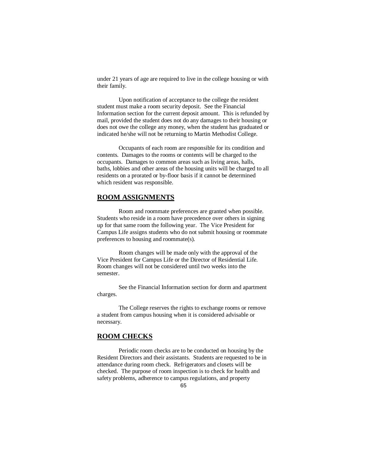under 21 years of age are required to live in the college housing or with their family.

Upon notification of acceptance to the college the resident student must make a room security deposit. See the Financial Information section for the current deposit amount. This is refunded by mail, provided the student does not do any damages to their housing or does not owe the college any money, when the student has graduated or indicated he/she will not be returning to Martin Methodist College.

Occupants of each room are responsible for its condition and contents. Damages to the rooms or contents will be charged to the occupants. Damages to common areas such as living areas, halls, baths, lobbies and other areas of the housing units will be charged to all residents on a prorated or by-floor basis if it cannot be determined which resident was responsible.

### **ROOM ASSIGNMENTS**

Room and roommate preferences are granted when possible. Students who reside in a room have precedence over others in signing up for that same room the following year. The Vice President for Campus Life assigns students who do not submit housing or roommate preferences to housing and roommate(s).

Room changes will be made only with the approval of the Vice President for Campus Life or the Director of Residential Life. Room changes will not be considered until two weeks into the semester.

See the Financial Information section for dorm and apartment charges.

The College reserves the rights to exchange rooms or remove a student from campus housing when it is considered advisable or necessary.

# **ROOM CHECKS**

Periodic room checks are to be conducted on housing by the Resident Directors and their assistants. Students are requested to be in attendance during room check. Refrigerators and closets will be checked. The purpose of room inspection is to check for health and safety problems, adherence to campus regulations, and property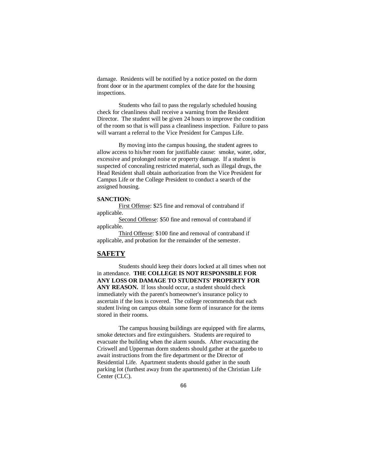damage. Residents will be notified by a notice posted on the dorm front door or in the apartment complex of the date for the housing inspections.

Students who fail to pass the regularly scheduled housing check for cleanliness shall receive a warning from the Resident Director. The student will be given 24 hours to improve the condition of the room so that is will pass a cleanliness inspection. Failure to pass will warrant a referral to the Vice President for Campus Life.

By moving into the campus housing, the student agrees to allow access to his/her room for justifiable cause: smoke, water, odor, excessive and prolonged noise or property damage. If a student is suspected of concealing restricted material, such as illegal drugs, the Head Resident shall obtain authorization from the Vice President for Campus Life or the College President to conduct a search of the assigned housing.

#### **SANCTION:**

First Offense: \$25 fine and removal of contraband if applicable.

Second Offense: \$50 fine and removal of contraband if applicable.

Third Offense: \$100 fine and removal of contraband if applicable, and probation for the remainder of the semester.

## **SAFETY**

Students should keep their doors locked at all times when not in attendance. **THE COLLEGE IS NOT RESPONSIBLE FOR ANY LOSS OR DAMAGE TO STUDENTS' PROPERTY FOR**  ANY REASON. If loss should occur, a student should check immediately with the parent's homeowner's insurance policy to ascertain if the loss is covered. The college recommends that each student living on campus obtain some form of insurance for the items stored in their rooms.

The campus housing buildings are equipped with fire alarms, smoke detectors and fire extinguishers. Students are required to evacuate the building when the alarm sounds. After evacuating the Criswell and Upperman dorm students should gather at the gazebo to await instructions from the fire department or the Director of Residential Life. Apartment students should gather in the south parking lot (furthest away from the apartments) of the Christian Life Center (CLC).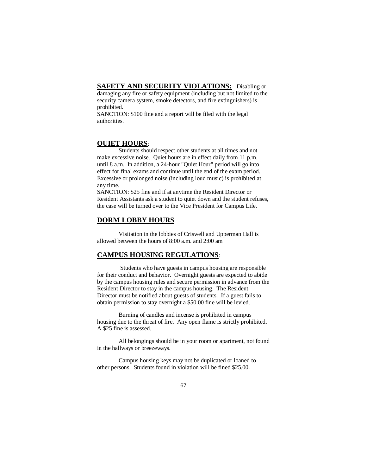# **SAFETY AND SECURITY VIOLATIONS:** Disabling or

damaging any fire or safety equipment (including but not limited to the security camera system, smoke detectors, and fire extinguishers) is prohibited.

SANCTION: \$100 fine and a report will be filed with the legal authorities.

#### **QUIET HOURS**:

Students should respect other students at all times and not make excessive noise. Quiet hours are in effect daily from 11 p.m. until 8 a.m. In addition, a 24-hour "Quiet Hour" period will go into effect for final exams and continue until the end of the exam period. Excessive or prolonged noise (including loud music) is prohibited at any time.

SANCTION: \$25 fine and if at anytime the Resident Director or Resident Assistants ask a student to quiet down and the student refuses, the case will be turned over to the Vice President for Campus Life.

### **DORM LOBBY HOURS**

Visitation in the lobbies of Criswell and Upperman Hall is allowed between the hours of 8:00 a.m. and 2:00 am

### **CAMPUS HOUSING REGULATIONS**:

Students who have guests in campus housing are responsible for their conduct and behavior. Overnight guests are expected to abide by the campus housing rules and secure permission in advance from the Resident Director to stay in the campus housing. The Resident Director must be notified about guests of students. If a guest fails to obtain permission to stay overnight a \$50.00 fine will be levied.

Burning of candles and incense is prohibited in campus housing due to the threat of fire. Any open flame is strictly prohibited. A \$25 fine is assessed.

All belongings should be in your room or apartment, not found in the hallways or breezeways.

Campus housing keys may not be duplicated or loaned to other persons. Students found in violation will be fined \$25.00.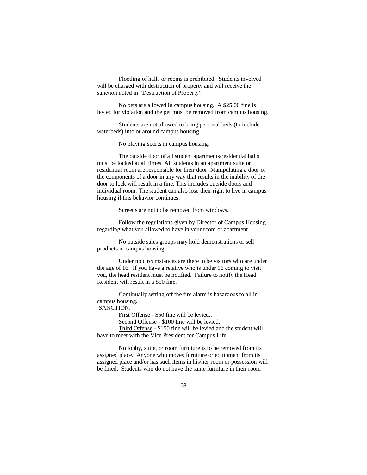Flooding of halls or rooms is prohibited. Students involved will be charged with destruction of property and will receive the sanction noted in "Destruction of Property".

No pets are allowed in campus housing. A \$25.00 fine is levied for violation and the pet must be removed from campus housing.

Students are not allowed to bring personal beds (to include waterbeds) into or around campus housing.

No playing sports in campus housing.

The outside door of all student apartments/residential halls must be locked at all times. All students in an apartment suite or residential room are responsible for their door. Manipulating a door or the components of a door in any way that results in the inability of the door to lock will result in a fine. This includes outside doors and individual room. The student can also lose their right to live in campus housing if this behavior continues.

Screens are not to be removed from windows.

Follow the regulations given by Director of Campus Housing regarding what you allowed to have in your room or apartment.

No outside sales groups may hold demonstrations or sell products in campus housing.

Under no circumstances are there to be visitors who are under the age of 16. If you have a relative who is under 16 coming to visit you, the head resident must be notified. Failure to notify the Head Resident will result in a \$50 fine.

Continually setting off the fire alarm is hazardous to all in campus housing.

# SANCTION:

First Offense - \$50 fine will be levied..

Second Offense - \$100 fine will be levied.

Third Offense - \$150 fine will be levied and the student will have to meet with the Vice President for Campus Life.

No lobby, suite, or room furniture is to be removed from its assigned place. Anyone who moves furniture or equipment from its assigned place and/or has such items in his/her room or possession will be fined. Students who do not have the same furniture in their room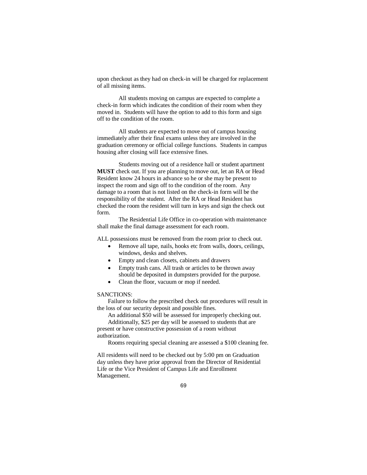upon checkout as they had on check-in will be charged for replacement of all missing items.

All students moving on campus are expected to complete a check-in form which indicates the condition of their room when they moved in. Students will have the option to add to this form and sign off to the condition of the room.

All students are expected to move out of campus housing immediately after their final exams unless they are involved in the graduation ceremony or official college functions. Students in campus housing after closing will face extensive fines.

Students moving out of a residence hall or student apartment **MUST** check out. If you are planning to move out, let an RA or Head Resident know 24 hours in advance so he or she may be present to inspect the room and sign off to the condition of the room. Any damage to a room that is not listed on the check-in form will be the responsibility of the student. After the RA or Head Resident has checked the room the resident will turn in keys and sign the check out form.

The Residential Life Office in co-operation with maintenance shall make the final damage assessment for each room.

ALL possessions must be removed from the room prior to check out.

- Remove all tape, nails, hooks etc from walls, doors, ceilings, windows, desks and shelves.
	- Empty and clean closets, cabinets and drawers
	- Empty trash cans. All trash or articles to be thrown away should be deposited in dumpsters provided for the purpose.
- Clean the floor, vacuum or mop if needed.

#### SANCTIONS:

Failure to follow the prescribed check out procedures will result in the loss of our security deposit and possible fines.

An additional \$50 will be assessed for improperly checking out. Additionally, \$25 per day will be assessed to students that are

present or have constructive possession of a room without authorization.

Rooms requiring special cleaning are assessed a \$100 cleaning fee.

All residents will need to be checked out by 5:00 pm on Graduation day unless they have prior approval from the Director of Residential Life or the Vice President of Campus Life and Enrollment Management.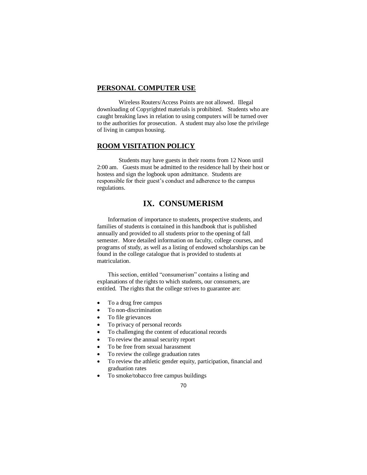#### **PERSONAL COMPUTER USE**

Wireless Routers/Access Points are not allowed. Illegal downloading of Copyrighted materials is prohibited. Students who are caught breaking laws in relation to using computers will be turned over to the authorities for prosecution. A student may also lose the privilege of living in campus housing.

# **ROOM VISITATION POLICY**

Students may have guests in their rooms from 12 Noon until 2:00 am. Guests must be admitted to the residence hall by their host or hostess and sign the logbook upon admittance. Students are responsible for their guest's conduct and adherence to the campus regulations.

# **IX. CONSUMERISM**

Information of importance to students, prospective students, and families of students is contained in this handbook that is published annually and provided to all students prior to the opening of fall semester. More detailed information on faculty, college courses, and programs of study, as well as a listing of endowed scholarships can be found in the college catalogue that is provided to students at matriculation.

This section, entitled "consumerism" contains a listing and explanations of the rights to which students, our consumers, are entitled. The rights that the college strives to guarantee are:

- To a drug free campus
- To non-discrimination
- To file grievances
- To privacy of personal records
- To challenging the content of educational records
- To review the annual security report
- To be free from sexual harassment
- To review the college graduation rates
- To review the athletic gender equity, participation, financial and graduation rates
- To smoke/tobacco free campus buildings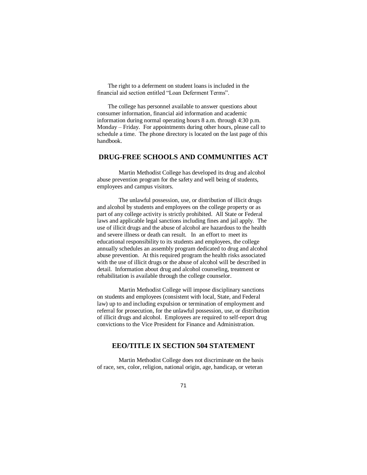The right to a deferment on student loans is included in the financial aid section entitled "Loan Deferment Terms".

The college has personnel available to answer questions about consumer information, financial aid information and academic information during normal operating hours 8 a.m. through 4:30 p.m. Monday – Friday. For appointments during other hours, please call to schedule a time. The phone directory is located on the last page of this handbook.

## **DRUG-FREE SCHOOLS AND COMMUNITIES ACT**

Martin Methodist College has developed its drug and alcohol abuse prevention program for the safety and well being of students, employees and campus visitors.

The unlawful possession, use, or distribution of illicit drugs and alcohol by students and employees on the college property or as part of any college activity is strictly prohibited. All State or Federal laws and applicable legal sanctions including fines and jail apply. The use of illicit drugs and the abuse of alcohol are hazardous to the health and severe illness or death can result. In an effort to meet its educational responsibility to its students and employees, the college annually schedules an assembly program dedicated to drug and alcohol abuse prevention. At this required program the health risks associated with the use of illicit drugs or the abuse of alcohol will be described in detail. Information about drug and alcohol counseling, treatment or rehabilitation is available through the college counselor.

Martin Methodist College will impose disciplinary sanctions on students and employees (consistent with local, State, and Federal law) up to and including expulsion or termination of employment and referral for prosecution, for the unlawful possession, use, or distribution of illicit drugs and alcohol. Employees are required to self-report drug convictions to the Vice President for Finance and Administration.

# **EEO/TITLE IX SECTION 504 STATEMENT**

Martin Methodist College does not discriminate on the basis of race, sex, color, religion, national origin, age, handicap, or veteran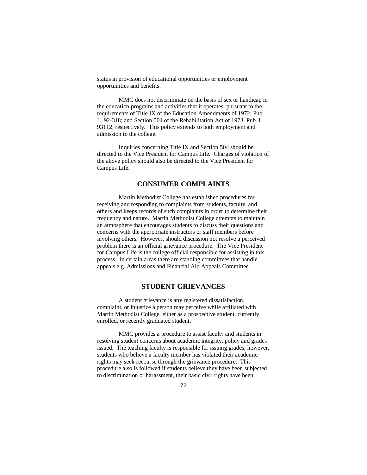status in provision of educational opportunities or employment opportunities and benefits.

MMC does not discriminate on the basis of sex or handicap in the education programs and activities that it operates, pursuant to the requirements of Title IX of the Education Amendments of 1972, Pub. L. 92-318; and Section 504 of the Rehabilitation Act of 1973, Pub. L. 93112; respectively. This policy extends to both employment and admission to the college.

Inquiries concerning Title IX and Section 504 should be directed to the Vice President for Campus Life. Charges of violation of the above policy should also be directed to the Vice President for Campus Life.

#### **CONSUMER COMPLAINTS**

Martin Methodist College has established procedures for receiving and responding to complaints from students, faculty, and others and keeps records of such complaints in order to determine their frequency and nature. Martin Methodist College attempts to maintain an atmosphere that encourages students to discuss their questions and concerns with the appropriate instructors or staff members before involving others. However, should discussion not resolve a perceived problem there is an official grievance procedure. The Vice President for Campus Life is the college official responsible for assisting in this process. In certain areas there are standing committees that handle appeals e.g. Admissions and Financial Aid Appeals Committee.

## **STUDENT GRIEVANCES**

A student grievance is any registered dissatisfaction, complaint, or injustice a person may perceive while affiliated with Martin Methodist College, either as a prospective student, currently enrolled, or recently graduated student.

MMC provides a procedure to assist faculty and students in resolving student concerns about academic integrity, policy and grades issued. The teaching faculty is responsible for issuing grades; however, students who believe a faculty member has violated their academic rights may seek recourse through the grievance procedure. This procedure also is followed if students believe they have been subjected to discrimination or harassment, their basic civil rights have been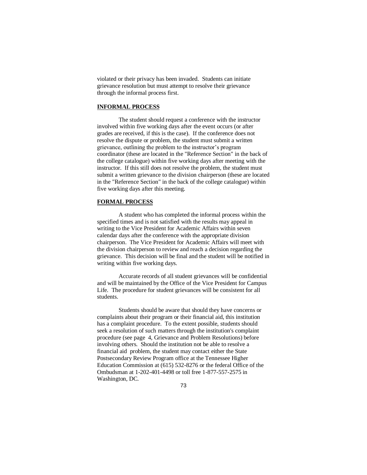violated or their privacy has been invaded. Students can initiate grievance resolution but must attempt to resolve their grievance through the informal process first.

#### **INFORMAL PROCESS**

The student should request a conference with the instructor involved within five working days after the event occurs (or after grades are received, if this is the case). If the conference does not resolve the dispute or problem, the student must submit a written grievance, outlining the problem to the instructor's program coordinator (these are located in the "Reference Section" in the back of the college catalogue) within five working days after meeting with the instructor. If this still does not resolve the problem, the student must submit a written grievance to the division chairperson (these are located in the "Reference Section" in the back of the college catalogue) within five working days after this meeting.

#### **FORMAL PROCESS**

A student who has completed the informal process within the specified times and is not satisfied with the results may appeal in writing to the Vice President for Academic Affairs within seven calendar days after the conference with the appropriate division chairperson. The Vice President for Academic Affairs will meet with the division chairperson to review and reach a decision regarding the grievance. This decision will be final and the student will be notified in writing within five working days.

Accurate records of all student grievances will be confidential and will be maintained by the Office of the Vice President for Campus Life. The procedure for student grievances will be consistent for all students.

Students should be aware that should they have concerns or complaints about their program or their financial aid, this institution has a complaint procedure. To the extent possible, students should seek a resolution of such matters through the institution's complaint procedure (see page 4, Grievance and Problem Resolutions) before involving others. Should the institution not be able to resolve a financial aid problem, the student may contact either the State Postsecondary Review Program office at the Tennessee Higher Education Commission at (615) 532-8276 or the federal Office of the Ombudsman at 1-202-401-4498 or toll free 1-877-557-2575 in Washington, DC.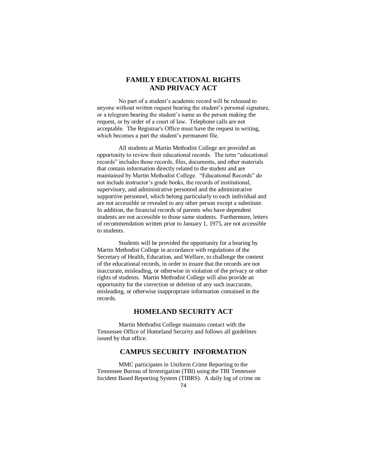## **FAMILY EDUCATIONAL RIGHTS AND PRIVACY ACT**

No part of a student's academic record will be released to anyone without written request bearing the student's personal signature, or a telegram bearing the student's name as the person making the request, or by order of a court of law. Telephone calls are not acceptable. The Registrar's Office must have the request in writing, which becomes a part the student's permanent file.

All students at Martin Methodist College are provided an opportunity to review their educational records. The term "educational records" includes those records, files, documents, and other materials that contain information directly related to the student and are maintained by Martin Methodist College. "Educational Records" do not include instructor's grade books, the records of institutional, supervisory, and administrative personnel and the administrative supportive personnel, which belong particularly to each individual and are not accessible or revealed to any other person except a substitute. In addition, the financial records of parents who have dependent students are not accessible to those same students. Furthermore, letters of recommendation written prior to January 1, 1975, are not accessible to students.

Students will be provided the opportunity for a hearing by Martin Methodist College in accordance with regulations of the Secretary of Health, Education, and Welfare, to challenge the content of the educational records, in order to insure that the records are not inaccurate, misleading, or otherwise in violation of the privacy or other rights of students. Martin Methodist College will also provide an opportunity for the correction or deletion of any such inaccurate, misleading, or otherwise inappropriate information contained in the records.

## **HOMELAND SECURITY ACT**

Martin Methodist College maintains contact with the Tennessee Office of Homeland Security and follows all guidelines issued by that office.

## **CAMPUS SECURITY INFORMATION**

MMC participates in Uniform Crime Reporting to the Tennessee Bureau of Investigation (TBI) using the TBI Tennessee Incident Based Reporting System (TIBRS). A daily log of crime on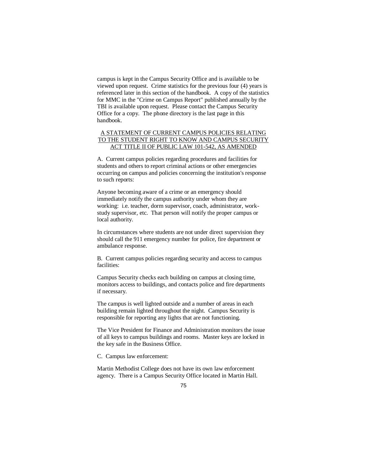campus is kept in the Campus Security Office and is available to be viewed upon request. Crime statistics for the previous four (4) years is referenced later in this section of the handbook. A copy of the statistics for MMC in the "Crime on Campus Report" published annually by the TBI is available upon request. Please contact the Campus Security Office for a copy. The phone directory is the last page in this handbook.

#### A STATEMENT OF CURRENT CAMPUS POLICIES RELATING TO THE STUDENT RIGHT TO KNOW AND CAMPUS SECURITY ACT TITLE II OF PUBLIC LAW 101-542, AS AMENDED

A. Current campus policies regarding procedures and facilities for students and others to report criminal actions or other emergencies occurring on campus and policies concerning the institution's response to such reports:

Anyone becoming aware of a crime or an emergency should immediately notify the campus authority under whom they are working: i.e. teacher, dorm supervisor, coach, administrator, workstudy supervisor, etc. That person will notify the proper campus or local authority.

In circumstances where students are not under direct supervision they should call the 911 emergency number for police, fire department or ambulance response.

B. Current campus policies regarding security and access to campus facilities:

Campus Security checks each building on campus at closing time, monitors access to buildings, and contacts police and fire departments if necessary.

The campus is well lighted outside and a number of areas in each building remain lighted throughout the night. Campus Security is responsible for reporting any lights that are not functioning.

The Vice President for Finance and Administration monitors the issue of all keys to campus buildings and rooms. Master keys are locked in the key safe in the Business Office.

C. Campus law enforcement:

Martin Methodist College does not have its own law enforcement agency. There is a Campus Security Office located in Martin Hall.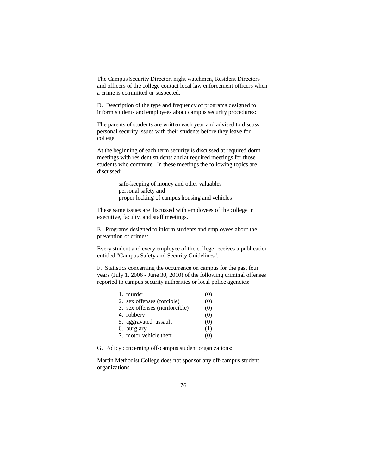The Campus Security Director, night watchmen, Resident Directors and officers of the college contact local law enforcement officers when a crime is committed or suspected.

D. Description of the type and frequency of programs designed to inform students and employees about campus security procedures:

The parents of students are written each year and advised to discuss personal security issues with their students before they leave for college.

At the beginning of each term security is discussed at required dorm meetings with resident students and at required meetings for those students who commute. In these meetings the following topics are discussed:

> safe-keeping of money and other valuables personal safety and proper locking of campus housing and vehicles

These same issues are discussed with employees of the college in executive, faculty, and staff meetings.

E. Programs designed to inform students and employees about the prevention of crimes:

Every student and every employee of the college receives a publication entitled "Campus Safety and Security Guidelines".

F. Statistics concerning the occurrence on campus for the past four years (July 1, 2006 - June 30, 2010) of the following criminal offenses reported to campus security authorities or local police agencies:

| 1. murder                     | (0) |
|-------------------------------|-----|
| 2. sex offenses (forcible)    | (0) |
| 3. sex offenses (nonforcible) | (0) |
| 4. robbery                    | (0) |
| 5. aggravated assault         | (0) |
| 6. burglary                   | (1) |
| 7. motor vehicle theft        | O.  |

G. Policy concerning off-campus student organizations:

Martin Methodist College does not sponsor any off-campus student organizations.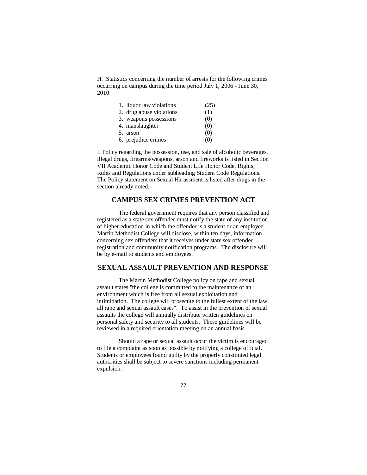H. Statistics concerning the number of arrests for the following crimes occurring on campus during the time period July 1, 2006 - June 30, 2010:

| 1. liquor law violations | (25) |
|--------------------------|------|
| 2. drug abuse violations | (1)  |
| 3. weapons possessions   | (0)  |
| 4. manslaughter          | (0)  |
| 5. arson                 | (0)  |
| 6. prejudice crimes      | (0)  |

I. Policy regarding the possession, use, and sale of alcoholic beverages, illegal drugs, firearms/weapons, arson and fireworks is listed in Section VII Academic Honor Code and Student Life Honor Code, Rights, Rules and Regulations under subheading Student Code Regulations. The Policy statement on Sexual Harassment is listed after drugs in the section already noted.

## **CAMPUS SEX CRIMES PREVENTION ACT**

The federal government requires that any person classified and registered as a state sex offender must notify the state of any institution of higher education in which the offender is a student or an employee. Martin Methodist College will disclose, within ten days, information concerning sex offenders that it receives under state sex offender registration and community notification programs. The disclosure will be by e-mail to students and employees.

#### **SEXUAL ASSAULT PREVENTION AND RESPONSE**

The Martin Methodist College policy on rape and sexual assault states "the college is committed to the maintenance of an environment which is free from all sexual exploitation and intimidation. The college will prosecute to the fullest extent of the law all rape and sexual assault cases". To assist in the prevention of sexual assaults the college will annually distribute written guidelines on personal safety and security to all students. These guidelines will be reviewed in a required orientation meeting on an annual basis.

Should a rape or sexual assault occur the victim is encouraged to file a complaint as soon as possible by notifying a college official. Students or employees found guilty by the properly constituted legal authorities shall be subject to severe sanctions including permanent expulsion.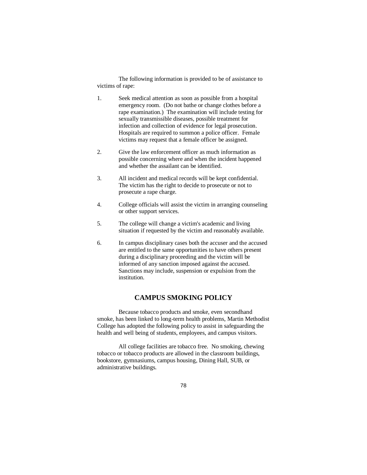The following information is provided to be of assistance to victims of rape:

- 1. Seek medical attention as soon as possible from a hospital emergency room. (Do not bathe or change clothes before a rape examination.) The examination will include testing for sexually transmissible diseases, possible treatment for infection and collection of evidence for legal prosecution. Hospitals are required to summon a police officer. Female victims may request that a female officer be assigned.
- 2. Give the law enforcement officer as much information as possible concerning where and when the incident happened and whether the assailant can be identified.
- 3. All incident and medical records will be kept confidential. The victim has the right to decide to prosecute or not to prosecute a rape charge.
- 4. College officials will assist the victim in arranging counseling or other support services.
- 5. The college will change a victim's academic and living situation if requested by the victim and reasonably available.
- 6. In campus disciplinary cases both the accuser and the accused are entitled to the same opportunities to have others present during a disciplinary proceeding and the victim will be informed of any sanction imposed against the accused. Sanctions may include, suspension or expulsion from the institution.

## **CAMPUS SMOKING POLICY**

Because tobacco products and smoke, even secondhand smoke, has been linked to long-term health problems, Martin Methodist College has adopted the following policy to assist in safeguarding the health and well being of students, employees, and campus visitors.

All college facilities are tobacco free. No smoking, chewing tobacco or tobacco products are allowed in the classroom buildings, bookstore, gymnasiums, campus housing, Dining Hall, SUB, or administrative buildings.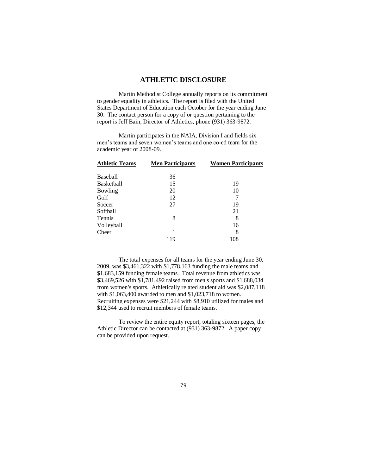## **ATHLETIC DISCLOSURE**

Martin Methodist College annually reports on its commitment to gender equality in athletics. The report is filed with the United States Department of Education each October for the year ending June 30. The contact person for a copy of or question pertaining to the report is Jeff Bain, Director of Athletics, phone (931) 363-9872.

Martin participates in the NAIA, Division I and fields six men's teams and seven women's teams and one co-ed team for the academic year of 2008-09.

| <b>Athletic Teams</b> | <b>Men Participants</b> | <b>Women Participants</b> |
|-----------------------|-------------------------|---------------------------|
| Baseball              | 36                      |                           |
| Basketball            | 15                      | 19                        |
| Bowling               | 20                      | 10                        |
| Golf                  | 12                      |                           |
| Soccer                | 27                      | 19                        |
| Softball              |                         | 21                        |
| Tennis                | 8                       | 8                         |
| Volleyball            |                         | 16                        |
| Cheer                 | 119                     | 8<br>108                  |

The total expenses for all teams for the year ending June 30, 2009, was \$3,461,322 with \$1,778,163 funding the male teams and \$1,683,159 funding female teams. Total revenue from athletics was \$3,469,526 with \$1,781,492 raised from men's sports and \$1,688,034 from women's sports. Athletically related student aid was \$2,087,118 with \$1,063,400 awarded to men and \$1,023,718 to women. Recruiting expenses were \$21,244 with \$8,910 utilized for males and \$12,344 used to recruit members of female teams.

To review the entire equity report, totaling sixteen pages, the Athletic Director can be contacted at (931) 363-9872. A paper copy can be provided upon request.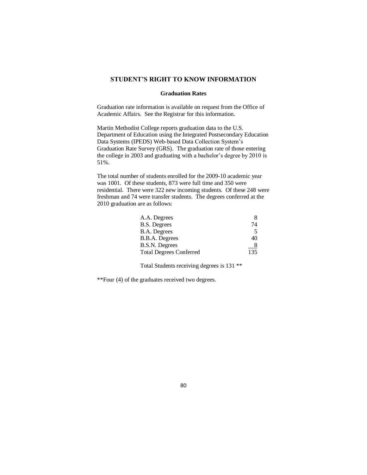#### **STUDENT'S RIGHT TO KNOW INFORMATION**

#### **Graduation Rates**

Graduation rate information is available on request from the Office of Academic Affairs. See the Registrar for this information.

Martin Methodist College reports graduation data to the U.S. Department of Education using the Integrated Postsecondary Education Data Systems (IPEDS) Web-based Data Collection System's Graduation Rate Survey (GRS). The graduation rate of those entering the college in 2003 and graduating with a bachelor's degree by 2010 is 51%.

The total number of students enrolled for the 2009-10 academic year was 1001. Of these students, 873 were full time and 350 were residential. There were 322 new incoming students. Of these 248 were freshman and 74 were transfer students. The degrees conferred at the 2010 graduation are as follows:

| 74  |
|-----|
| 5   |
| 40  |
|     |
| 135 |
|     |

Total Students receiving degrees is 131 \*\*

\*\*Four (4) of the graduates received two degrees.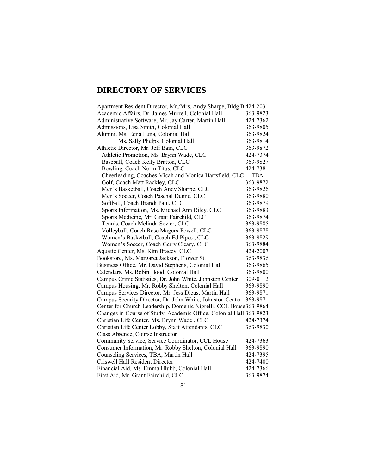# **DIRECTORY OF SERVICES**

| Apartment Resident Director, Mr./Mrs. Andy Sharpe, Bldg B 424-2031  |          |
|---------------------------------------------------------------------|----------|
| Academic Affairs, Dr. James Murrell, Colonial Hall                  | 363-9823 |
| Administrative Software, Mr. Jay Carter, Martin Hall                | 424-7362 |
| Admissions, Lisa Smith, Colonial Hall                               | 363-9805 |
| Alumni, Ms. Edna Luna, Colonial Hall                                | 363-9824 |
| Ms. Sally Phelps, Colonial Hall                                     | 363-9814 |
| Athletic Director, Mr. Jeff Bain, CLC                               | 363-9872 |
| Athletic Promotion, Ms. Brynn Wade, CLC                             | 424-7374 |
| Baseball, Coach Kelly Bratton, CLC                                  | 363-9827 |
| Bowling, Coach Norm Titus, CLC                                      | 424-7381 |
| Cheerleading, Coaches Micah and Monica Hartsfield, CLC              | TBA      |
| Golf, Coach Matt Rackley, CLC                                       | 363-9872 |
| Men's Basketball, Coach Andy Sharpe, CLC                            | 363-9826 |
| Men's Soccer, Coach Paschal Dunne, CLC                              | 363-9880 |
| Softball, Coach Brandi Paul, CLC                                    | 363-9879 |
| Sports Information, Ms. Michael Ann Riley, CLC                      | 363-9883 |
| Sports Medicine, Mr. Grant Fairchild, CLC                           | 363-9874 |
| Tennis, Coach Melinda Sevier, CLC                                   | 363-9885 |
| Volleyball, Coach Rose Magers-Powell, CLC                           | 363-9878 |
| Women's Basketball, Coach Ed Pipes, CLC                             | 363-9829 |
| Women's Soccer, Coach Gerry Cleary, CLC                             | 363-9884 |
| Aquatic Center, Ms. Kim Bracey, CLC                                 | 424-2007 |
| Bookstore, Ms. Margaret Jackson, Flower St.                         | 363-9836 |
| Business Office, Mr. David Stephens, Colonial Hall                  | 363-9865 |
| Calendars, Ms. Robin Hood, Colonial Hall                            | 363-9800 |
| Campus Crime Statistics, Dr. John White, Johnston Center            | 309-0112 |
| Campus Housing, Mr. Robby Shelton, Colonial Hall                    | 363-9890 |
| Campus Services Director, Mr. Jess Dicus, Martin Hall               | 363-9871 |
| Campus Security Director, Dr. John White, Johnston Center           | 363-9871 |
| Center for Church Leadership, Domenic Nigrelli, CCL House363-9864   |          |
| Changes in Course of Study, Academic Office, Colonial Hall 363-9823 |          |
| Christian Life Center, Ms. Brynn Wade, CLC                          | 424-7374 |
| Christian Life Center Lobby, Staff Attendants, CLC                  | 363-9830 |
| Class Absence, Course Instructor                                    |          |
| Community Service, Service Coordinator, CCL House                   | 424-7363 |
| Consumer Information, Mr. Robby Shelton, Colonial Hall              | 363-9890 |
| Counseling Services, TBA, Martin Hall                               | 424-7395 |
| Criswell Hall Resident Director                                     | 424-7400 |
| Financial Aid, Ms. Emma Hlubb, Colonial Hall                        | 424-7366 |
| First Aid, Mr. Grant Fairchild, CLC                                 | 363-9874 |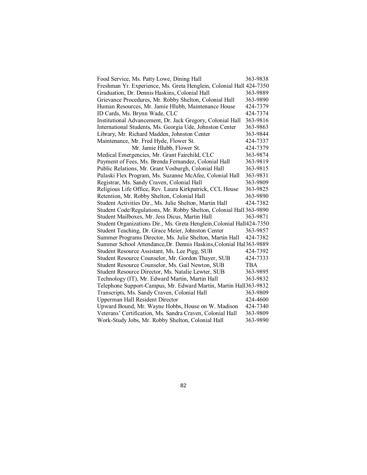| Food Service, Ms. Patty Lowe, Dining Hall                             | 363-9838   |
|-----------------------------------------------------------------------|------------|
| Freshman Yr. Experience, Ms. Greta Henglein, Colonial Hall 424-7350   |            |
| Graduation, Dr. Dennis Haskins, Colonial Hall                         | 363-9889   |
| Grievance Procedures, Mr. Robby Shelton, Colonial Hall                | 363-9890   |
| Human Resources, Mr. Jamie Hlubb, Maintenance House                   | 424-7379   |
| ID Cards, Ms. Brynn Wade, CLC                                         | 424-7374   |
| Institutional Advancement, Dr. Jack Gregory, Colonial Hall            | 363-9816   |
| International Students, Ms. Georgia Ude, Johnston Center              | 363-9863   |
| Library, Mr. Richard Madden, Johnston Center                          | 363-9844   |
| Maintenance, Mr. Fred Hyde, Flower St.                                | 424-7337   |
| Mr. Jamie Hlubb, Flower St.                                           | 424-7379   |
| Medical Emergencies, Mr. Grant Fairchild, CLC                         | 363-9874   |
| Payment of Fees, Ms. Brenda Fernandez, Colonial Hall                  | 363-9819   |
| Public Relations, Mr. Grant Vosburgh, Colonial Hall                   | 363-9815   |
| Pulaski Flex Program, Ms. Suzanne McAfee, Colonial Hall               | 363-9831   |
| Registrar, Ms. Sandy Craven, Colonial Hall                            | 363-9809   |
| Religious Life Office, Rev. Laura Kirkpatrick, CCL House              | 363-9825   |
| Retention, Mr. Robby Shelton, Colonial Hall                           | 363-9890   |
| Student Activities Dir., Ms. Julie Shelton, Martin Hall               | 424-7382   |
| Student Code/Regulations, Mr. Robby Shelton, Colonial Hall 363-9890   |            |
| Student Mailboxes, Mr. Jess Dicus, Martin Hall                        | 363-9871   |
| Student Organizations Dir., Ms. Greta Henglein, Colonial Hall424-7350 |            |
| Student Teaching, Dr. Grace Meier, Johnston Center                    | 363-9857   |
| Summer Programs Director, Ms. Julie Shelton, Martin Hall              | 424-7382   |
| Summer School Attendance, Dr. Dennis Haskins, Colonial Hal363-9889    |            |
| Student Resource Assistant, Ms. Lee Pigg, SUB                         | 424-7392   |
| Student Resource Counselor, Mr. Gordon Thayer, SUB                    | 424-7333   |
| Student Resource Counselor, Ms. Gail Newton, SUB                      | <b>TBA</b> |
| Student Resource Director, Ms. Natalie Lewter, SUB                    | 363-9895   |
| Technology (IT), Mr. Edward Martin, Martin Hall                       | 363-9832   |
| Telephone Support-Campus, Mr. Edward Martin, Martin Hall363-9832      |            |
| Transcripts, Ms. Sandy Craven, Colonial Hall                          | 363-9809   |
| <b>Upperman Hall Resident Director</b>                                | 424-4600   |
| Upward Bound, Mr. Wayne Hobbs, House on W. Madison                    | 424-7340   |
| Veterans' Certification, Ms. Sandra Craven, Colonial Hall             | 363-9809   |
| Work-Study Jobs, Mr. Robby Shelton, Colonial Hall                     | 363-9890   |